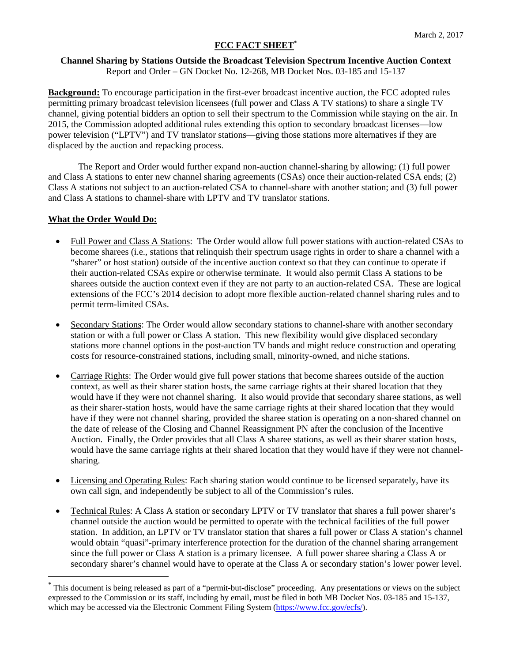# **FCC FACT SHEET\***

## **Channel Sharing by Stations Outside the Broadcast Television Spectrum Incentive Auction Context**  Report and Order – GN Docket No. 12-268, MB Docket Nos. 03-185 and 15-137

**Background:** To encourage participation in the first-ever broadcast incentive auction, the FCC adopted rules permitting primary broadcast television licensees (full power and Class A TV stations) to share a single TV channel, giving potential bidders an option to sell their spectrum to the Commission while staying on the air. In 2015, the Commission adopted additional rules extending this option to secondary broadcast licenses—low power television ("LPTV") and TV translator stations—giving those stations more alternatives if they are displaced by the auction and repacking process.

The Report and Order would further expand non-auction channel-sharing by allowing: (1) full power and Class A stations to enter new channel sharing agreements (CSAs) once their auction-related CSA ends; (2) Class A stations not subject to an auction-related CSA to channel-share with another station; and (3) full power and Class A stations to channel-share with LPTV and TV translator stations.

# **What the Order Would Do:**

- Full Power and Class A Stations: The Order would allow full power stations with auction-related CSAs to become sharees (i.e., stations that relinquish their spectrum usage rights in order to share a channel with a "sharer" or host station) outside of the incentive auction context so that they can continue to operate if their auction-related CSAs expire or otherwise terminate. It would also permit Class A stations to be sharees outside the auction context even if they are not party to an auction-related CSA. These are logical extensions of the FCC's 2014 decision to adopt more flexible auction-related channel sharing rules and to permit term-limited CSAs.
- Secondary Stations: The Order would allow secondary stations to channel-share with another secondary station or with a full power or Class A station. This new flexibility would give displaced secondary stations more channel options in the post-auction TV bands and might reduce construction and operating costs for resource-constrained stations, including small, minority-owned, and niche stations.
- Carriage Rights: The Order would give full power stations that become sharees outside of the auction context, as well as their sharer station hosts, the same carriage rights at their shared location that they would have if they were not channel sharing. It also would provide that secondary sharee stations, as well as their sharer-station hosts, would have the same carriage rights at their shared location that they would have if they were not channel sharing, provided the sharee station is operating on a non-shared channel on the date of release of the Closing and Channel Reassignment PN after the conclusion of the Incentive Auction. Finally, the Order provides that all Class A sharee stations, as well as their sharer station hosts, would have the same carriage rights at their shared location that they would have if they were not channelsharing.
- Licensing and Operating Rules: Each sharing station would continue to be licensed separately, have its own call sign, and independently be subject to all of the Commission's rules.
- Technical Rules: A Class A station or secondary LPTV or TV translator that shares a full power sharer's channel outside the auction would be permitted to operate with the technical facilities of the full power station. In addition, an LPTV or TV translator station that shares a full power or Class A station's channel would obtain "quasi"-primary interference protection for the duration of the channel sharing arrangement since the full power or Class A station is a primary licensee. A full power sharee sharing a Class A or secondary sharer's channel would have to operate at the Class A or secondary station's lower power level.

<sup>\*</sup> This document is being released as part of a "permit-but-disclose" proceeding. Any presentations or views on the subject expressed to the Commission or its staff, including by email, must be filed in both MB Docket Nos. 03-185 and 15-137, which may be accessed via the Electronic Comment Filing System (https://www.fcc.gov/ecfs/).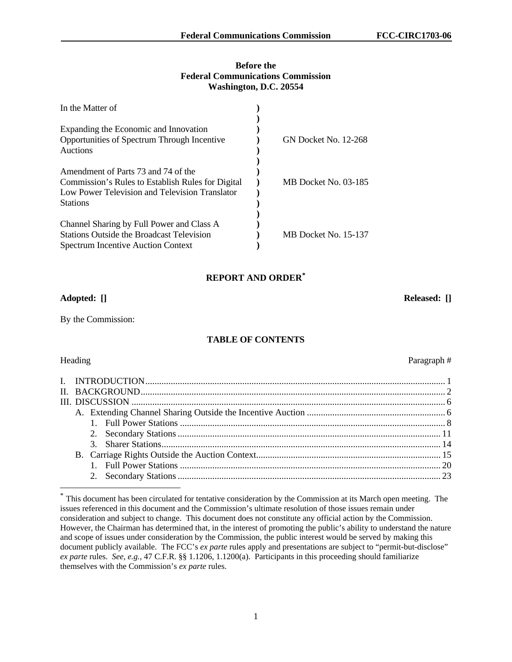## **Before the Federal Communications Commission Washington, D.C. 20554**

| In the Matter of                                                                                                                                              |                             |
|---------------------------------------------------------------------------------------------------------------------------------------------------------------|-----------------------------|
| Expanding the Economic and Innovation<br>Opportunities of Spectrum Through Incentive<br>Auctions                                                              | <b>GN Docket No. 12-268</b> |
| Amendment of Parts 73 and 74 of the<br>Commission's Rules to Establish Rules for Digital<br>Low Power Television and Television Translator<br><b>Stations</b> | MB Docket No. 03-185        |
| Channel Sharing by Full Power and Class A<br><b>Stations Outside the Broadcast Television</b><br><b>Spectrum Incentive Auction Context</b>                    | MB Docket No. 15-137        |

# **REPORT AND ORDER\***

## **Adopted: [] Released: []**

By the Commission:

# **TABLE OF CONTENTS**

-

Heading Paragraph #

<sup>\*</sup> This document has been circulated for tentative consideration by the Commission at its March open meeting. The issues referenced in this document and the Commission's ultimate resolution of those issues remain under consideration and subject to change. This document does not constitute any official action by the Commission. However, the Chairman has determined that, in the interest of promoting the public's ability to understand the nature and scope of issues under consideration by the Commission, the public interest would be served by making this document publicly available. The FCC's *ex parte* rules apply and presentations are subject to "permit-but-disclose" *ex parte* rules. *See, e.g.,* 47 C.F.R. §§ 1.1206, 1.1200(a). Participants in this proceeding should familiarize themselves with the Commission's *ex parte* rules.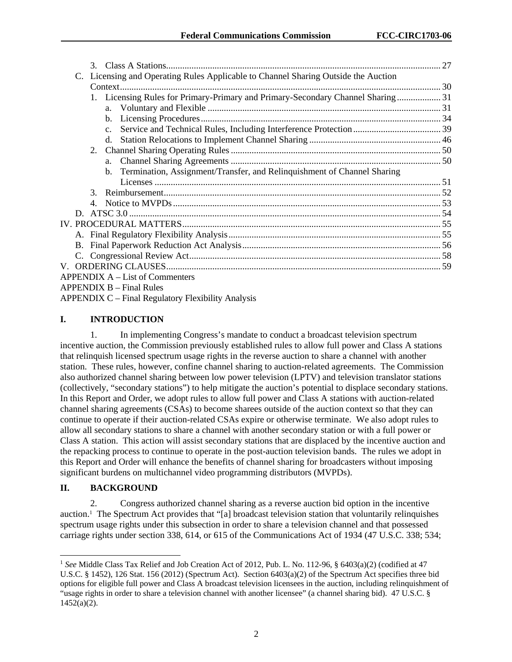|               | Licensing and Operating Rules Applicable to Channel Sharing Outside the Auction |  |
|---------------|---------------------------------------------------------------------------------|--|
|               |                                                                                 |  |
|               | 1. Licensing Rules for Primary-Primary and Primary-Secondary Channel Sharing 31 |  |
|               |                                                                                 |  |
|               |                                                                                 |  |
|               |                                                                                 |  |
|               | d.                                                                              |  |
|               |                                                                                 |  |
|               | $a_{-}$                                                                         |  |
|               | b. Termination, Assignment/Transfer, and Relinquishment of Channel Sharing      |  |
|               |                                                                                 |  |
| $\mathcal{F}$ |                                                                                 |  |
| 4.            |                                                                                 |  |
|               |                                                                                 |  |
|               |                                                                                 |  |
|               |                                                                                 |  |
|               |                                                                                 |  |
|               |                                                                                 |  |
|               |                                                                                 |  |
|               | <b>APPENDIX A – List of Commenters</b>                                          |  |
|               | $APPENDIX B - Final Rules$                                                      |  |
|               | <b>APPENDIX C</b> – Final Regulatory Flexibility Analysis                       |  |

# **I. INTRODUCTION**

1. In implementing Congress's mandate to conduct a broadcast television spectrum incentive auction, the Commission previously established rules to allow full power and Class A stations that relinquish licensed spectrum usage rights in the reverse auction to share a channel with another station. These rules, however, confine channel sharing to auction-related agreements. The Commission also authorized channel sharing between low power television (LPTV) and television translator stations (collectively, "secondary stations") to help mitigate the auction's potential to displace secondary stations. In this Report and Order, we adopt rules to allow full power and Class A stations with auction-related channel sharing agreements (CSAs) to become sharees outside of the auction context so that they can continue to operate if their auction-related CSAs expire or otherwise terminate. We also adopt rules to allow all secondary stations to share a channel with another secondary station or with a full power or Class A station. This action will assist secondary stations that are displaced by the incentive auction and the repacking process to continue to operate in the post-auction television bands. The rules we adopt in this Report and Order will enhance the benefits of channel sharing for broadcasters without imposing significant burdens on multichannel video programming distributors (MVPDs).

# **II. BACKGROUND**

l

2. Congress authorized channel sharing as a reverse auction bid option in the incentive auction.1 The Spectrum Act provides that "[a] broadcast television station that voluntarily relinquishes spectrum usage rights under this subsection in order to share a television channel and that possessed carriage rights under section 338, 614, or 615 of the Communications Act of 1934 (47 U.S.C. 338; 534;

<sup>1</sup> *See* Middle Class Tax Relief and Job Creation Act of 2012, Pub. L. No. 112-96, § 6403(a)(2) (codified at 47 U.S.C. § 1452), 126 Stat. 156 (2012) (Spectrum Act). Section 6403(a)(2) of the Spectrum Act specifies three bid options for eligible full power and Class A broadcast television licensees in the auction, including relinquishment of "usage rights in order to share a television channel with another licensee" (a channel sharing bid). 47 U.S.C. §  $1452(a)(2)$ .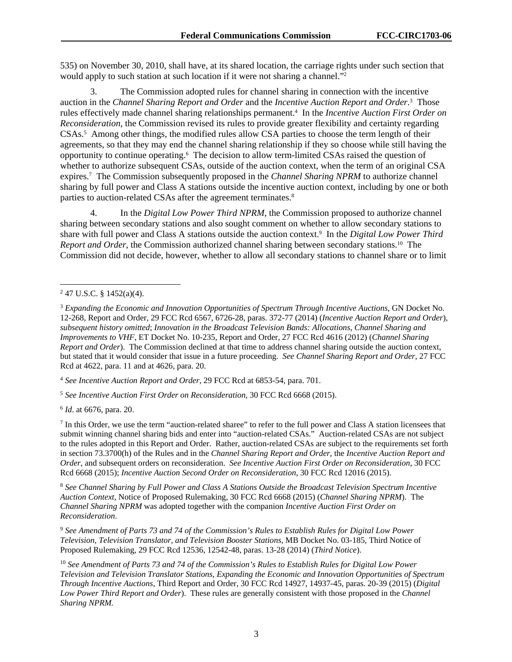535) on November 30, 2010, shall have, at its shared location, the carriage rights under such section that would apply to such station at such location if it were not sharing a channel."<sup>2</sup>

3. The Commission adopted rules for channel sharing in connection with the incentive auction in the *Channel Sharing Report and Order* and the *Incentive Auction Report and Order*. 3 Those rules effectively made channel sharing relationships permanent.<sup>4</sup> In the *Incentive Auction First Order on Reconsideration*, the Commission revised its rules to provide greater flexibility and certainty regarding CSAs.<sup>5</sup> Among other things, the modified rules allow CSA parties to choose the term length of their agreements, so that they may end the channel sharing relationship if they so choose while still having the opportunity to continue operating.6 The decision to allow term-limited CSAs raised the question of whether to authorize subsequent CSAs, outside of the auction context, when the term of an original CSA expires.<sup>7</sup> The Commission subsequently proposed in the *Channel Sharing NPRM* to authorize channel sharing by full power and Class A stations outside the incentive auction context, including by one or both parties to auction-related CSAs after the agreement terminates.<sup>8</sup>

4. In the *Digital Low Power Third NPRM*, the Commission proposed to authorize channel sharing between secondary stations and also sought comment on whether to allow secondary stations to share with full power and Class A stations outside the auction context.<sup>9</sup> In the *Digital Low Power Third Report and Order*, the Commission authorized channel sharing between secondary stations.<sup>10</sup> The Commission did not decide, however, whether to allow all secondary stations to channel share or to limit

l

<sup>4</sup> *See Incentive Auction Report and Order*, 29 FCC Rcd at 6853-54, para. 701.

<sup>5</sup> *See Incentive Auction First Order on Reconsideration*, 30 FCC Rcd 6668 (2015).

<sup>6</sup> *Id*. at 6676, para. 20.

 $<sup>7</sup>$  In this Order, we use the term "auction-related sharee" to refer to the full power and Class A station licensees that</sup> submit winning channel sharing bids and enter into "auction-related CSAs." Auction-related CSAs are not subject to the rules adopted in this Report and Order. Rather, auction-related CSAs are subject to the requirements set forth in section 73.3700(h) of the Rules and in the *Channel Sharing Report and Order*, the *Incentive Auction Report and Order*, and subsequent orders on reconsideration. *See Incentive Auction First Order on Reconsideration*, 30 FCC Rcd 6668 (2015); *Incentive Auction Second Order on Reconsideration*, 30 FCC Rcd 12016 (2015).

<sup>8</sup> *See Channel Sharing by Full Power and Class A Stations Outside the Broadcast Television Spectrum Incentive Auction Context,* Notice of Proposed Rulemaking, 30 FCC Rcd 6668 (2015) (*Channel Sharing NPRM*). The *Channel Sharing NPRM* was adopted together with the companion *Incentive Auction First Order on Reconsideration*.

<sup>9</sup> *See Amendment of Parts 73 and 74 of the Commission's Rules to Establish Rules for Digital Low Power Television, Television Translator, and Television Booster Stations,* MB Docket No. 03-185*,* Third Notice of Proposed Rulemaking, 29 FCC Rcd 12536, 12542-48, paras. 13-28 (2014) (*Third Notice*).

<sup>10</sup> *See Amendment of Parts 73 and 74 of the Commission's Rules to Establish Rules for Digital Low Power Television and Television Translator Stations*, *Expanding the Economic and Innovation Opportunities of Spectrum Through Incentive Auctions,* Third Report and Order, 30 FCC Rcd 14927, 14937-45, paras. 20-39 (2015) (*Digital Low Power Third Report and Order*). These rules are generally consistent with those proposed in the *Channel Sharing NPRM.*

 $247$  U.S.C. § 1452(a)(4).

<sup>3</sup>  *Expanding the Economic and Innovation Opportunities of Spectrum Through Incentive Auctions*, GN Docket No. 12-268, Report and Order, 29 FCC Rcd 6567, 6726-28, paras. 372-77 (2014) (*Incentive Auction Report and Order*), *subsequent history omitted*; *Innovation in the Broadcast Television Bands: Allocations, Channel Sharing and Improvements to VHF*, ET Docket No. 10-235, Report and Order, 27 FCC Rcd 4616 (2012) (*Channel Sharing Report and Order*). The Commission declined at that time to address channel sharing outside the auction context, but stated that it would consider that issue in a future proceeding. *See Channel Sharing Report and Order*, 27 FCC Rcd at 4622, para. 11 and at 4626, para. 20.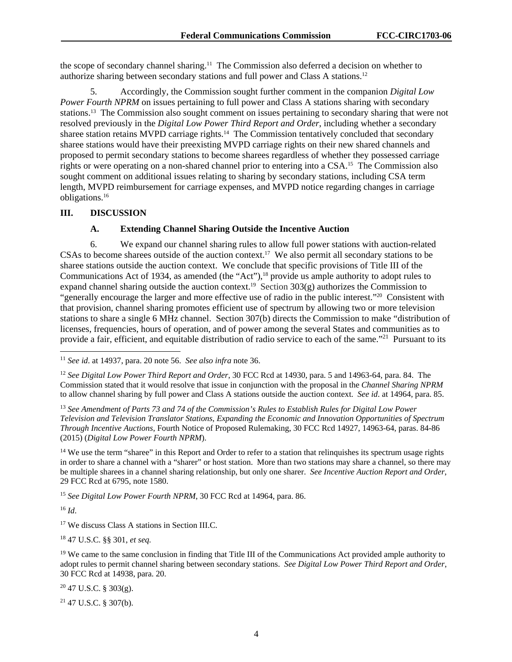the scope of secondary channel sharing.11 The Commission also deferred a decision on whether to authorize sharing between secondary stations and full power and Class A stations.12

5. Accordingly, the Commission sought further comment in the companion *Digital Low Power Fourth NPRM* on issues pertaining to full power and Class A stations sharing with secondary stations.13 The Commission also sought comment on issues pertaining to secondary sharing that were not resolved previously in the *Digital Low Power Third Report and Order*, including whether a secondary sharee station retains MVPD carriage rights.<sup>14</sup> The Commission tentatively concluded that secondary sharee stations would have their preexisting MVPD carriage rights on their new shared channels and proposed to permit secondary stations to become sharees regardless of whether they possessed carriage rights or were operating on a non-shared channel prior to entering into a CSA.<sup>15</sup> The Commission also sought comment on additional issues relating to sharing by secondary stations, including CSA term length, MVPD reimbursement for carriage expenses, and MVPD notice regarding changes in carriage obligations.16

## **III. DISCUSSION**

#### **A. Extending Channel Sharing Outside the Incentive Auction**

6. We expand our channel sharing rules to allow full power stations with auction-related CSAs to become sharees outside of the auction context.<sup>17</sup> We also permit all secondary stations to be sharee stations outside the auction context. We conclude that specific provisions of Title III of the Communications Act of 1934, as amended (the "Act"),<sup>18</sup> provide us ample authority to adopt rules to expand channel sharing outside the auction context.<sup>19</sup> Section 303(g) authorizes the Commission to "generally encourage the larger and more effective use of radio in the public interest."20 Consistent with that provision, channel sharing promotes efficient use of spectrum by allowing two or more television stations to share a single 6 MHz channel. Section 307(b) directs the Commission to make "distribution of licenses, frequencies, hours of operation, and of power among the several States and communities as to provide a fair, efficient, and equitable distribution of radio service to each of the same."<sup>21</sup> Pursuant to its

 $14$  We use the term "sharee" in this Report and Order to refer to a station that relinquishes its spectrum usage rights in order to share a channel with a "sharer" or host station. More than two stations may share a channel, so there may be multiple sharees in a channel sharing relationship, but only one sharer. *See Incentive Auction Report and Order*, 29 FCC Rcd at 6795, note 1580.

<sup>15</sup> See Digital Low Power Fourth NPRM, 30 FCC Rcd at 14964, para. 86.

 $16$  *Id.* 

1

<sup>17</sup> We discuss Class A stations in Section III.C.

18 47 U.S.C. §§ 301, *et seq.*

 $19$  We came to the same conclusion in finding that Title III of the Communications Act provided ample authority to adopt rules to permit channel sharing between secondary stations. *See Digital Low Power Third Report and Order*, 30 FCC Rcd at 14938, para. 20.

 $20$  47 U.S.C. § 303(g).

<sup>21</sup> 47 U.S.C. § 307(b).

<sup>11</sup> *See id*. at 14937, para. 20 note 56. *See also infra* note 36.

<sup>12</sup> *See Digital Low Power Third Report and Order*, 30 FCC Rcd at 14930, para. 5 and 14963-64, para. 84. The Commission stated that it would resolve that issue in conjunction with the proposal in the *Channel Sharing NPRM* to allow channel sharing by full power and Class A stations outside the auction context. *See id*. at 14964, para. 85.

<sup>13</sup> *See Amendment of Parts 73 and 74 of the Commission's Rules to Establish Rules for Digital Low Power Television and Television Translator Stations*, *Expanding the Economic and Innovation Opportunities of Spectrum Through Incentive Auctions*, Fourth Notice of Proposed Rulemaking, 30 FCC Rcd 14927, 14963-64, paras. 84-86 (2015) (*Digital Low Power Fourth NPRM*).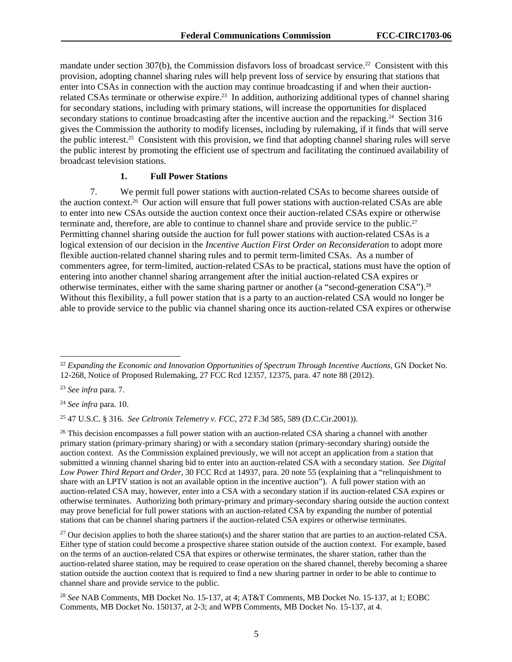mandate under section  $307(b)$ , the Commission disfavors loss of broadcast service.<sup>22</sup> Consistent with this provision, adopting channel sharing rules will help prevent loss of service by ensuring that stations that enter into CSAs in connection with the auction may continue broadcasting if and when their auctionrelated CSAs terminate or otherwise expire.<sup>23</sup> In addition, authorizing additional types of channel sharing for secondary stations, including with primary stations, will increase the opportunities for displaced secondary stations to continue broadcasting after the incentive auction and the repacking.<sup>24</sup> Section 316 gives the Commission the authority to modify licenses, including by rulemaking, if it finds that will serve the public interest.25 Consistent with this provision, we find that adopting channel sharing rules will serve the public interest by promoting the efficient use of spectrum and facilitating the continued availability of broadcast television stations.

#### **1. Full Power Stations**

7. We permit full power stations with auction-related CSAs to become sharees outside of the auction context.<sup>26</sup> Our action will ensure that full power stations with auction-related CSAs are able to enter into new CSAs outside the auction context once their auction-related CSAs expire or otherwise terminate and, therefore, are able to continue to channel share and provide service to the public.27 Permitting channel sharing outside the auction for full power stations with auction-related CSAs is a logical extension of our decision in the *Incentive Auction First Order on Reconsideration* to adopt more flexible auction-related channel sharing rules and to permit term-limited CSAs. As a number of commenters agree, for term-limited, auction-related CSAs to be practical, stations must have the option of entering into another channel sharing arrangement after the initial auction-related CSA expires or otherwise terminates, either with the same sharing partner or another (a "second-generation CSA").28 Without this flexibility, a full power station that is a party to an auction-related CSA would no longer be able to provide service to the public via channel sharing once its auction-related CSA expires or otherwise

1

<sup>24</sup> *See infra* para. 10.

25 47 U.S.C. § 316. *See Celtronix Telemetry v. FCC,* 272 F.3d 585, 589 (D.C.Cir.2001)).

<sup>26</sup> This decision encompasses a full power station with an auction-related CSA sharing a channel with another primary station (primary-primary sharing) or with a secondary station (primary-secondary sharing) outside the auction context. As the Commission explained previously, we will not accept an application from a station that submitted a winning channel sharing bid to enter into an auction-related CSA with a secondary station. *See Digital Low Power Third Report and Order*, 30 FCC Rcd at 14937, para. 20 note 55 (explaining that a "relinquishment to share with an LPTV station is not an available option in the incentive auction"). A full power station with an auction-related CSA may, however, enter into a CSA with a secondary station if its auction-related CSA expires or otherwise terminates. Authorizing both primary-primary and primary-secondary sharing outside the auction context may prove beneficial for full power stations with an auction-related CSA by expanding the number of potential stations that can be channel sharing partners if the auction-related CSA expires or otherwise terminates.

 $27$  Our decision applies to both the sharee station(s) and the sharer station that are parties to an auction-related CSA. Either type of station could become a prospective sharee station outside of the auction context. For example, based on the terms of an auction-related CSA that expires or otherwise terminates, the sharer station, rather than the auction-related sharee station, may be required to cease operation on the shared channel, thereby becoming a sharee station outside the auction context that is required to find a new sharing partner in order to be able to continue to channel share and provide service to the public.

<sup>28</sup> *See* NAB Comments, MB Docket No. 15-137, at 4; AT&T Comments, MB Docket No. 15-137, at 1; EOBC Comments, MB Docket No. 150137, at 2-3; and WPB Comments, MB Docket No. 15-137, at 4.

<sup>22</sup> *Expanding the Economic and Innovation Opportunities of Spectrum Through Incentive Auctions*, GN Docket No. 12-268, Notice of Proposed Rulemaking, 27 FCC Rcd 12357, 12375, para. 47 note 88 (2012).

<sup>23</sup> *See infra* para. 7.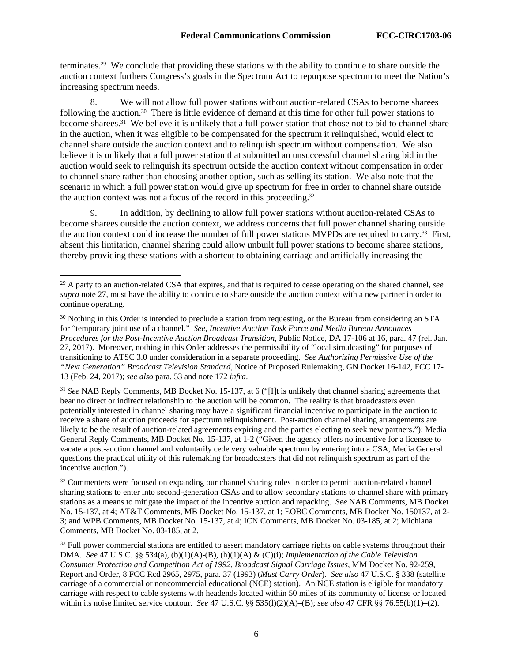terminates.29 We conclude that providing these stations with the ability to continue to share outside the auction context furthers Congress's goals in the Spectrum Act to repurpose spectrum to meet the Nation's increasing spectrum needs.

8. We will not allow full power stations without auction-related CSAs to become sharees following the auction.30 There is little evidence of demand at this time for other full power stations to become sharees.<sup>31</sup> We believe it is unlikely that a full power station that chose not to bid to channel share in the auction, when it was eligible to be compensated for the spectrum it relinquished, would elect to channel share outside the auction context and to relinquish spectrum without compensation. We also believe it is unlikely that a full power station that submitted an unsuccessful channel sharing bid in the auction would seek to relinquish its spectrum outside the auction context without compensation in order to channel share rather than choosing another option, such as selling its station. We also note that the scenario in which a full power station would give up spectrum for free in order to channel share outside the auction context was not a focus of the record in this proceeding.32

9. In addition, by declining to allow full power stations without auction-related CSAs to become sharees outside the auction context, we address concerns that full power channel sharing outside the auction context could increase the number of full power stations MVPDs are required to carry.33 First, absent this limitation, channel sharing could allow unbuilt full power stations to become sharee stations, thereby providing these stations with a shortcut to obtaining carriage and artificially increasing the

l

<sup>31</sup> *See* NAB Reply Comments, MB Docket No. 15-137, at 6 ("[I]t is unlikely that channel sharing agreements that bear no direct or indirect relationship to the auction will be common. The reality is that broadcasters even potentially interested in channel sharing may have a significant financial incentive to participate in the auction to receive a share of auction proceeds for spectrum relinquishment. Post-auction channel sharing arrangements are likely to be the result of auction-related agreements expiring and the parties electing to seek new partners."); Media General Reply Comments, MB Docket No. 15-137, at 1-2 ("Given the agency offers no incentive for a licensee to vacate a post-auction channel and voluntarily cede very valuable spectrum by entering into a CSA, Media General questions the practical utility of this rulemaking for broadcasters that did not relinquish spectrum as part of the incentive auction.").

<sup>32</sup> Commenters were focused on expanding our channel sharing rules in order to permit auction-related channel sharing stations to enter into second-generation CSAs and to allow secondary stations to channel share with primary stations as a means to mitigate the impact of the incentive auction and repacking. *See* NAB Comments, MB Docket No. 15-137, at 4; AT&T Comments, MB Docket No. 15-137, at 1; EOBC Comments, MB Docket No. 150137, at 2- 3; and WPB Comments, MB Docket No. 15-137, at 4; ICN Comments, MB Docket No. 03-185, at 2; Michiana Comments, MB Docket No. 03-185, at 2.

<sup>29</sup> A party to an auction-related CSA that expires, and that is required to cease operating on the shared channel, *see supra* note 27, must have the ability to continue to share outside the auction context with a new partner in order to continue operating.

<sup>&</sup>lt;sup>30</sup> Nothing in this Order is intended to preclude a station from requesting, or the Bureau from considering an STA for "temporary joint use of a channel." *See*, *Incentive Auction Task Force and Media Bureau Announces Procedures for the Post-Incentive Auction Broadcast Transition*, Public Notice, DA 17-106 at 16, para. 47 (rel. Jan. 27, 2017). Moreover, nothing in this Order addresses the permissibility of "local simulcasting" for purposes of transitioning to ATSC 3.0 under consideration in a separate proceeding. *See Authorizing Permissive Use of the "Next Generation" Broadcast Television Standard*, Notice of Proposed Rulemaking, GN Docket 16-142, FCC 17- 13 (Feb. 24, 2017); *see also* para. 53 and note 172 *infra*.

<sup>&</sup>lt;sup>33</sup> Full power commercial stations are entitled to assert mandatory carriage rights on cable systems throughout their DMA. *See* 47 U.S.C. §§ 534(a), (b)(1)(A)-(B), (h)(1)(A) & (C)(i); *Implementation of the Cable Television Consumer Protection and Competition Act of 1992, Broadcast Signal Carriage Issues*, MM Docket No. 92-259, Report and Order, 8 FCC Rcd 2965, 2975, para. 37 (1993) (*Must Carry Order*). *See also* 47 U.S.C. § 338 (satellite carriage of a commercial or noncommercial educational (NCE) station). An NCE station is eligible for mandatory carriage with respect to cable systems with headends located within 50 miles of its community of license or located within its noise limited service contour. *See* 47 U.S.C. §§ 535(l)(2)(A)–(B); *see also* 47 CFR §§ 76.55(b)(1)–(2).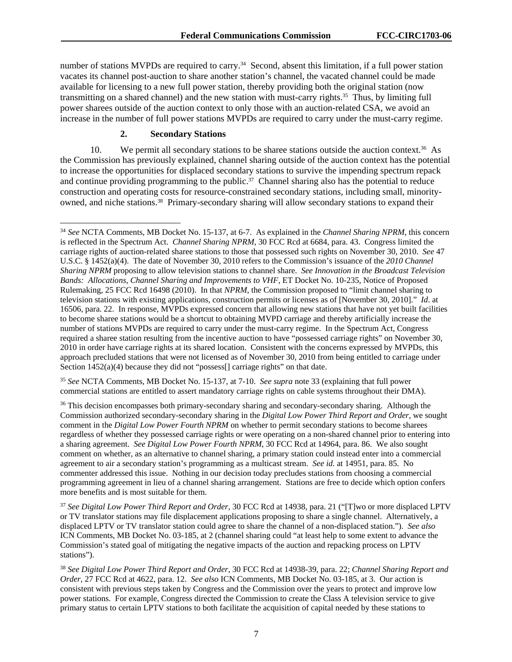number of stations MVPDs are required to carry.<sup>34</sup> Second, absent this limitation, if a full power station vacates its channel post-auction to share another station's channel, the vacated channel could be made available for licensing to a new full power station, thereby providing both the original station (now transmitting on a shared channel) and the new station with must-carry rights.35 Thus, by limiting full power sharees outside of the auction context to only those with an auction-related CSA, we avoid an increase in the number of full power stations MVPDs are required to carry under the must-carry regime.

#### **2. Secondary Stations**

1

10. We permit all secondary stations to be sharee stations outside the auction context.<sup>36</sup> As the Commission has previously explained, channel sharing outside of the auction context has the potential to increase the opportunities for displaced secondary stations to survive the impending spectrum repack and continue providing programming to the public.<sup>37</sup> Channel sharing also has the potential to reduce construction and operating costs for resource-constrained secondary stations, including small, minorityowned, and niche stations.<sup>38</sup> Primary-secondary sharing will allow secondary stations to expand their

<sup>35</sup> *See* NCTA Comments, MB Docket No. 15-137, at 7-10. *See supra* note 33 (explaining that full power commercial stations are entitled to assert mandatory carriage rights on cable systems throughout their DMA).

<sup>34</sup> *See* NCTA Comments, MB Docket No. 15-137, at 6-7. As explained in the *Channel Sharing NPRM*, this concern is reflected in the Spectrum Act. *Channel Sharing NPRM*, 30 FCC Rcd at 6684, para. 43. Congress limited the carriage rights of auction-related sharee stations to those that possessed such rights on November 30, 2010. *See* 47 U.S.C. § 1452(a)(4). The date of November 30, 2010 refers to the Commission's issuance of the *2010 Channel Sharing NPRM* proposing to allow television stations to channel share. *See Innovation in the Broadcast Television Bands: Allocations, Channel Sharing and Improvements to VHF,* ET Docket No. 10-235, Notice of Proposed Rulemaking, 25 FCC Rcd 16498 (2010). In that *NPRM*, the Commission proposed to "limit channel sharing to television stations with existing applications, construction permits or licenses as of [November 30, 2010]." *Id*. at 16506, para. 22. In response, MVPDs expressed concern that allowing new stations that have not yet built facilities to become sharee stations would be a shortcut to obtaining MVPD carriage and thereby artificially increase the number of stations MVPDs are required to carry under the must-carry regime. In the Spectrum Act, Congress required a sharee station resulting from the incentive auction to have "possessed carriage rights" on November 30, 2010 in order have carriage rights at its shared location. Consistent with the concerns expressed by MVPDs, this approach precluded stations that were not licensed as of November 30, 2010 from being entitled to carriage under Section  $1452(a)(4)$  because they did not "possess<sup>[]</sup> carriage rights" on that date.

<sup>&</sup>lt;sup>36</sup> This decision encompasses both primary-secondary sharing and secondary-secondary sharing. Although the Commission authorized secondary-secondary sharing in the *Digital Low Power Third Report and Order*, we sought comment in the *Digital Low Power Fourth NPRM* on whether to permit secondary stations to become sharees regardless of whether they possessed carriage rights or were operating on a non-shared channel prior to entering into a sharing agreement. *See Digital Low Power Fourth NPRM*, 30 FCC Rcd at 14964, para. 86. We also sought comment on whether, as an alternative to channel sharing, a primary station could instead enter into a commercial agreement to air a secondary station's programming as a multicast stream. *See id.* at 14951, para. 85. No commenter addressed this issue. Nothing in our decision today precludes stations from choosing a commercial programming agreement in lieu of a channel sharing arrangement. Stations are free to decide which option confers more benefits and is most suitable for them.

<sup>37</sup> *See Digital Low Power Third Report and Order*, 30 FCC Rcd at 14938, para. 21 ("[T]wo or more displaced LPTV or TV translator stations may file displacement applications proposing to share a single channel. Alternatively, a displaced LPTV or TV translator station could agree to share the channel of a non-displaced station."). *See also* ICN Comments, MB Docket No. 03-185, at 2 (channel sharing could "at least help to some extent to advance the Commission's stated goal of mitigating the negative impacts of the auction and repacking process on LPTV stations").

<sup>38</sup> *See Digital Low Power Third Report and Order*, 30 FCC Rcd at 14938-39, para. 22; *Channel Sharing Report and Order,* 27 FCC Rcd at 4622, para. 12. *See also* ICN Comments, MB Docket No. 03-185, at 3. Our action is consistent with previous steps taken by Congress and the Commission over the years to protect and improve low power stations. For example, Congress directed the Commission to create the Class A television service to give primary status to certain LPTV stations to both facilitate the acquisition of capital needed by these stations to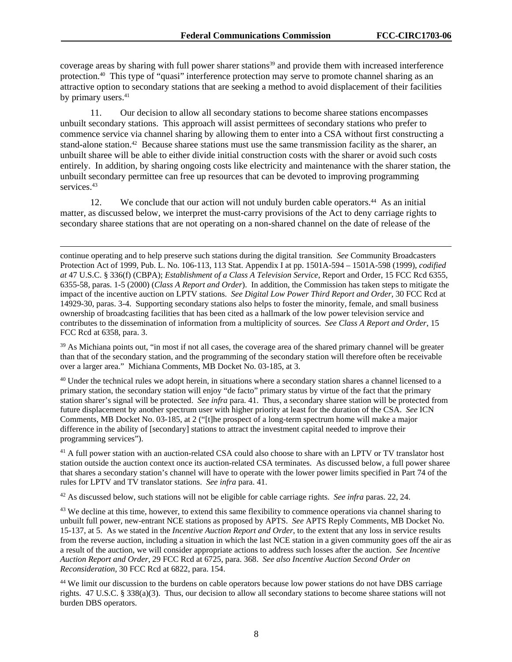coverage areas by sharing with full power sharer stations<sup>39</sup> and provide them with increased interference protection.40 This type of "quasi" interference protection may serve to promote channel sharing as an attractive option to secondary stations that are seeking a method to avoid displacement of their facilities by primary users.<sup>41</sup>

11. Our decision to allow all secondary stations to become sharee stations encompasses unbuilt secondary stations. This approach will assist permittees of secondary stations who prefer to commence service via channel sharing by allowing them to enter into a CSA without first constructing a stand-alone station.<sup>42</sup> Because sharee stations must use the same transmission facility as the sharer, an unbuilt sharee will be able to either divide initial construction costs with the sharer or avoid such costs entirely. In addition, by sharing ongoing costs like electricity and maintenance with the sharer station, the unbuilt secondary permittee can free up resources that can be devoted to improving programming services.<sup>43</sup>

12. We conclude that our action will not unduly burden cable operators.<sup>44</sup> As an initial matter, as discussed below, we interpret the must-carry provisions of the Act to deny carriage rights to secondary sharee stations that are not operating on a non-shared channel on the date of release of the

-

<sup>39</sup> As Michiana points out, "in most if not all cases, the coverage area of the shared primary channel will be greater than that of the secondary station, and the programming of the secondary station will therefore often be receivable over a larger area." Michiana Comments, MB Docket No. 03-185, at 3.

<sup>40</sup> Under the technical rules we adopt herein, in situations where a secondary station shares a channel licensed to a primary station, the secondary station will enjoy "de facto" primary status by virtue of the fact that the primary station sharer's signal will be protected. *See infra* para. 41. Thus, a secondary sharee station will be protected from future displacement by another spectrum user with higher priority at least for the duration of the CSA. *See* ICN Comments, MB Docket No. 03-185, at 2 ("[t]he prospect of a long-term spectrum home will make a major difference in the ability of [secondary] stations to attract the investment capital needed to improve their programming services").

<sup>41</sup> A full power station with an auction-related CSA could also choose to share with an LPTV or TV translator host station outside the auction context once its auction-related CSA terminates. As discussed below, a full power sharee that shares a secondary station's channel will have to operate with the lower power limits specified in Part 74 of the rules for LPTV and TV translator stations. *See infra* para. 41.

42 As discussed below, such stations will not be eligible for cable carriage rights. *See infra* paras. 22, 24.

<sup>43</sup> We decline at this time, however, to extend this same flexibility to commence operations via channel sharing to unbuilt full power, new-entrant NCE stations as proposed by APTS. *See* APTS Reply Comments, MB Docket No. 15-137, at 5. As we stated in the *Incentive Auction Report and Order*, to the extent that any loss in service results from the reverse auction, including a situation in which the last NCE station in a given community goes off the air as a result of the auction, we will consider appropriate actions to address such losses after the auction. *See Incentive Auction Report and Order*, 29 FCC Rcd at 6725, para. 368. *See also Incentive Auction Second Order on Reconsideration*, 30 FCC Rcd at 6822, para. 154.

<sup>44</sup> We limit our discussion to the burdens on cable operators because low power stations do not have DBS carriage rights. 47 U.S.C. § 338(a)(3). Thus, our decision to allow all secondary stations to become sharee stations will not burden DBS operators.

continue operating and to help preserve such stations during the digital transition*. See* Community Broadcasters Protection Act of 1999, Pub. L. No. 106-113, 113 Stat. Appendix I at pp. 1501A-594 – 1501A-598 (1999), *codified at* 47 U.S.C. § 336(f) (CBPA); *Establishment of a Class A Television Service*, Report and Order, 15 FCC Rcd 6355, 6355-58, paras. 1-5 (2000) (*Class A Report and Order*). In addition, the Commission has taken steps to mitigate the impact of the incentive auction on LPTV stations. *See Digital Low Power Third Report and Order*, 30 FCC Rcd at 14929-30, paras. 3-4. Supporting secondary stations also helps to foster the minority, female, and small business ownership of broadcasting facilities that has been cited as a hallmark of the low power television service and contributes to the dissemination of information from a multiplicity of sources. *See Class A Report and Order*, 15 FCC Rcd at 6358, para. 3.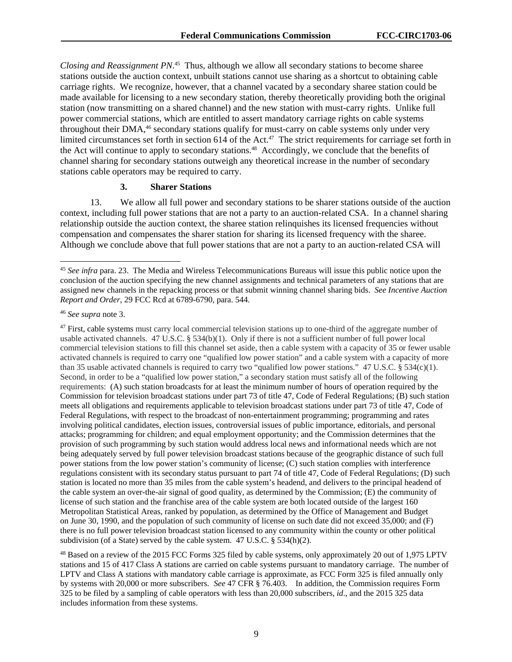*Closing and Reassignment PN*. 45 Thus, although we allow all secondary stations to become sharee stations outside the auction context, unbuilt stations cannot use sharing as a shortcut to obtaining cable carriage rights. We recognize, however, that a channel vacated by a secondary sharee station could be made available for licensing to a new secondary station, thereby theoretically providing both the original station (now transmitting on a shared channel) and the new station with must-carry rights. Unlike full power commercial stations, which are entitled to assert mandatory carriage rights on cable systems throughout their DMA,<sup>46</sup> secondary stations qualify for must-carry on cable systems only under very limited circumstances set forth in section 614 of the Act.<sup>47</sup> The strict requirements for carriage set forth in the Act will continue to apply to secondary stations.<sup>48</sup> Accordingly, we conclude that the benefits of channel sharing for secondary stations outweigh any theoretical increase in the number of secondary stations cable operators may be required to carry.

#### **3. Sharer Stations**

13. We allow all full power and secondary stations to be sharer stations outside of the auction context, including full power stations that are not a party to an auction-related CSA. In a channel sharing relationship outside the auction context, the sharee station relinquishes its licensed frequencies without compensation and compensates the sharer station for sharing its licensed frequency with the sharee. Although we conclude above that full power stations that are not a party to an auction-related CSA will

-

<sup>47</sup> First, cable systems must carry local commercial television stations up to one-third of the aggregate number of usable activated channels. 47 U.S.C. § 534(b)(1). Only if there is not a sufficient number of full power local commercial television stations to fill this channel set aside, then a cable system with a capacity of 35 or fewer usable activated channels is required to carry one "qualified low power station" and a cable system with a capacity of more than 35 usable activated channels is required to carry two "qualified low power stations." 47 U.S.C. § 534(c)(1). Second, in order to be a "qualified low power station," a secondary station must satisfy all of the following requirements: (A) such station broadcasts for at least the minimum number of hours of operation required by the Commission for television broadcast stations under part 73 of title 47, Code of Federal Regulations; (B) such station meets all obligations and requirements applicable to television broadcast stations under part 73 of title 47, Code of Federal Regulations, with respect to the broadcast of non-entertainment programming; programming and rates involving political candidates, election issues, controversial issues of public importance, editorials, and personal attacks; programming for children; and equal employment opportunity; and the Commission determines that the provision of such programming by such station would address local news and informational needs which are not being adequately served by full power television broadcast stations because of the geographic distance of such full power stations from the low power station's community of license; (C) such station complies with interference regulations consistent with its secondary status pursuant to part 74 of title 47, Code of Federal Regulations; (D) such station is located no more than 35 miles from the cable system's headend, and delivers to the principal headend of the cable system an over-the-air signal of good quality, as determined by the Commission; (E) the community of license of such station and the franchise area of the cable system are both located outside of the largest 160 Metropolitan Statistical Areas, ranked by population, as determined by the Office of Management and Budget on June 30, 1990, and the population of such community of license on such date did not exceed 35,000; and (F) there is no full power television broadcast station licensed to any community within the county or other political subdivision (of a State) served by the cable system.47 U.S.C. § 534(h)(2).

48 Based on a review of the 2015 FCC Forms 325 filed by cable systems, only approximately 20 out of 1,975 LPTV stations and 15 of 417 Class A stations are carried on cable systems pursuant to mandatory carriage. The number of LPTV and Class A stations with mandatory cable carriage is approximate, as FCC Form 325 is filed annually only by systems with 20,000 or more subscribers. *See* 47 CFR § 76.403. In addition, the Commission requires Form 325 to be filed by a sampling of cable operators with less than 20,000 subscribers, *id*., and the 2015 325 data includes information from these systems.

<sup>45</sup> *See infra* para. 23. The Media and Wireless Telecommunications Bureaus will issue this public notice upon the conclusion of the auction specifying the new channel assignments and technical parameters of any stations that are assigned new channels in the repacking process or that submit winning channel sharing bids. *See Incentive Auction Report and Order*, 29 FCC Rcd at 6789-6790, para. 544.

<sup>46</sup> *See supra* note 3.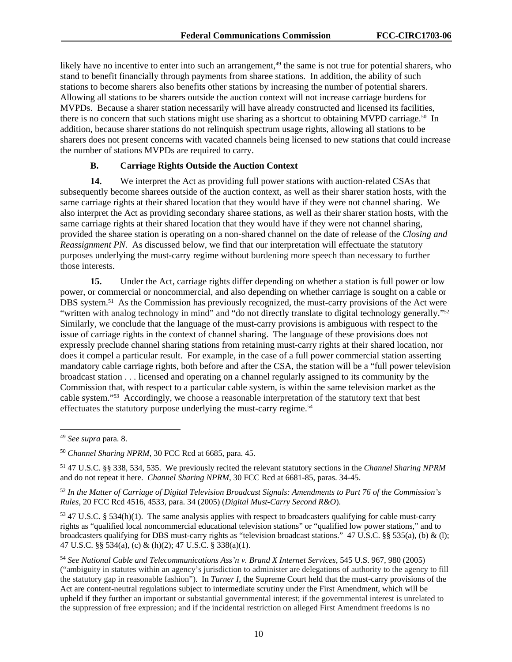likely have no incentive to enter into such an arrangement,<sup>49</sup> the same is not true for potential sharers, who stand to benefit financially through payments from sharee stations. In addition, the ability of such stations to become sharers also benefits other stations by increasing the number of potential sharers. Allowing all stations to be sharers outside the auction context will not increase carriage burdens for MVPDs. Because a sharer station necessarily will have already constructed and licensed its facilities, there is no concern that such stations might use sharing as a shortcut to obtaining MVPD carriage.<sup>50</sup> In addition, because sharer stations do not relinquish spectrum usage rights, allowing all stations to be sharers does not present concerns with vacated channels being licensed to new stations that could increase the number of stations MVPDs are required to carry.

## **B. Carriage Rights Outside the Auction Context**

**14.** We interpret the Act as providing full power stations with auction-related CSAs that subsequently become sharees outside of the auction context, as well as their sharer station hosts, with the same carriage rights at their shared location that they would have if they were not channel sharing. We also interpret the Act as providing secondary sharee stations, as well as their sharer station hosts, with the same carriage rights at their shared location that they would have if they were not channel sharing, provided the sharee station is operating on a non-shared channel on the date of release of the *Closing and Reassignment PN*. As discussed below, we find that our interpretation will effectuate the statutory purposes underlying the must-carry regime without burdening more speech than necessary to further those interests.

**15.** Under the Act, carriage rights differ depending on whether a station is full power or low power, or commercial or noncommercial, and also depending on whether carriage is sought on a cable or DBS system.51 As the Commission has previously recognized, the must-carry provisions of the Act were "written with analog technology in mind" and "do not directly translate to digital technology generally."<sup>52</sup> Similarly, we conclude that the language of the must-carry provisions is ambiguous with respect to the issue of carriage rights in the context of channel sharing. The language of these provisions does not expressly preclude channel sharing stations from retaining must-carry rights at their shared location, nor does it compel a particular result. For example, in the case of a full power commercial station asserting mandatory cable carriage rights, both before and after the CSA, the station will be a "full power television broadcast station . . . licensed and operating on a channel regularly assigned to its community by the Commission that, with respect to a particular cable system, is within the same television market as the cable system."53 Accordingly, we choose a reasonable interpretation of the statutory text that best effectuates the statutory purpose underlying the must-carry regime.<sup>54</sup>

1

<sup>49</sup> *See supra* para. 8.

<sup>50</sup> *Channel Sharing NPRM*, 30 FCC Rcd at 6685, para. 45.

<sup>51 47</sup> U.S.C. §§ 338, 534, 535. We previously recited the relevant statutory sections in the *Channel Sharing NPRM* and do not repeat it here. *Channel Sharing NPRM*, 30 FCC Rcd at 6681-85, paras. 34-45.

<sup>52</sup> *In the Matter of Carriage of Digital Television Broadcast Signals: Amendments to Part 76 of the Commission's Rules*, 20 FCC Rcd 4516, 4533, para. 34 (2005) (*Digital Must-Carry Second R&O*).

 $53$  47 U.S.C. § 534(h)(1). The same analysis applies with respect to broadcasters qualifying for cable must-carry rights as "qualified local noncommercial educational television stations" or "qualified low power stations," and to broadcasters qualifying for DBS must-carry rights as "television broadcast stations." 47 U.S.C. §§ 535(a), (b) & (l); 47 U.S.C. §§ 534(a), (c) & (h)(2); 47 U.S.C. § 338(a)(1).

<sup>54</sup> *See National Cable and Telecommunications Ass'n v. Brand X Internet Services*, 545 U.S. 967, 980 (2005) ("ambiguity in statutes within an agency's jurisdiction to administer are delegations of authority to the agency to fill the statutory gap in reasonable fashion"). In *Turner I*, the Supreme Court held that the must-carry provisions of the Act are content-neutral regulations subject to intermediate scrutiny under the First Amendment, which will be upheld if they further an important or substantial governmental interest; if the governmental interest is unrelated to the suppression of free expression; and if the incidental restriction on alleged First Amendment freedoms is no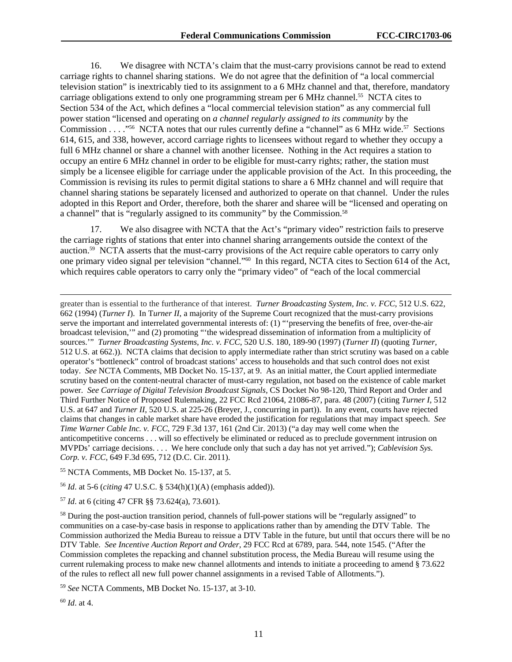16. We disagree with NCTA's claim that the must-carry provisions cannot be read to extend carriage rights to channel sharing stations. We do not agree that the definition of "a local commercial television station" is inextricably tied to its assignment to a 6 MHz channel and that, therefore, mandatory carriage obligations extend to only one programming stream per 6 MHz channel.<sup>55</sup> NCTA cites to Section 534 of the Act, which defines a "local commercial television station" as any commercial full power station "licensed and operating on *a channel regularly assigned to its community* by the Commission . . . . "<sup>56</sup> NCTA notes that our rules currently define a "channel" as 6 MHz wide.<sup>57</sup> Sections 614, 615, and 338, however, accord carriage rights to licensees without regard to whether they occupy a full 6 MHz channel or share a channel with another licensee. Nothing in the Act requires a station to occupy an entire 6 MHz channel in order to be eligible for must-carry rights; rather, the station must simply be a licensee eligible for carriage under the applicable provision of the Act. In this proceeding, the Commission is revising its rules to permit digital stations to share a 6 MHz channel and will require that channel sharing stations be separately licensed and authorized to operate on that channel. Under the rules adopted in this Report and Order, therefore, both the sharer and sharee will be "licensed and operating on a channel" that is "regularly assigned to its community" by the Commission.<sup>58</sup>

17. We also disagree with NCTA that the Act's "primary video" restriction fails to preserve the carriage rights of stations that enter into channel sharing arrangements outside the context of the auction.59 NCTA asserts that the must-carry provisions of the Act require cable operators to carry only one primary video signal per television "channel."60 In this regard, NCTA cites to Section 614 of the Act, which requires cable operators to carry only the "primary video" of "each of the local commercial

greater than is essential to the furtherance of that interest. *Turner Broadcasting System, Inc. v. FCC*, 512 U.S. 622, 662 (1994) (*Turner I*). In T*urner II*, a majority of the Supreme Court recognized that the must-carry provisions serve the important and interrelated governmental interests of: (1) "'preserving the benefits of free, over-the-air broadcast television,'" and (2) promoting "'the widespread dissemination of information from a multiplicity of sources.'" *Turner Broadcasting Systems, Inc. v. FCC*, 520 U.S. 180, 189-90 (1997) (*Turner II*) (quoting *Turner,*  512 U.S. at 662.)). NCTA claims that decision to apply intermediate rather than strict scrutiny was based on a cable operator's "bottleneck" control of broadcast stations' access to households and that such control does not exist today. *See* NCTA Comments, MB Docket No. 15-137, at 9. As an initial matter, the Court applied intermediate scrutiny based on the content-neutral character of must-carry regulation, not based on the existence of cable market power. *See Carriage of Digital Television Broadcast Signals,* CS Docket No 98-120, Third Report and Order and Third Further Notice of Proposed Rulemaking, 22 FCC Rcd 21064, 21086-87, para. 48 (2007) (citing *Turner I*, 512 U.S. at 647 and *Turner II*, 520 U.S. at 225-26 (Breyer, J., concurring in part)). In any event, courts have rejected claims that changes in cable market share have eroded the justification for regulations that may impact speech. *See Time Warner Cable Inc. v. FCC*, 729 F.3d 137, 161 (2nd Cir. 2013) ("a day may well come when the anticompetitive concerns . . . will so effectively be eliminated or reduced as to preclude government intrusion on MVPDs' carriage decisions. . . . We here conclude only that such a day has not yet arrived."); *Cablevision Sys. Corp. v. FCC,* 649 F.3d 695, 712 (D.C. Cir. 2011).

- 55 NCTA Comments, MB Docket No. 15-137, at 5.
- <sup>56</sup> *Id*. at 5-6 (*citing* 47 U.S.C. § 534(h)(1)(A) (emphasis added)).

<sup>57</sup> *Id*. at 6 (citing 47 CFR §§ 73.624(a), 73.601).

<sup>58</sup> During the post-auction transition period, channels of full-power stations will be "regularly assigned" to communities on a case-by-case basis in response to applications rather than by amending the DTV Table. The Commission authorized the Media Bureau to reissue a DTV Table in the future, but until that occurs there will be no DTV Table. *See Incentive Auction Report and Order*, 29 FCC Rcd at 6789, para. 544, note 1545. ("After the Commission completes the repacking and channel substitution process, the Media Bureau will resume using the current rulemaking process to make new channel allotments and intends to initiate a proceeding to amend § 73.622 of the rules to reflect all new full power channel assignments in a revised Table of Allotments.").

<sup>59</sup> *See* NCTA Comments, MB Docket No. 15-137, at 3-10.

<sup>60</sup> *Id*. at 4.

1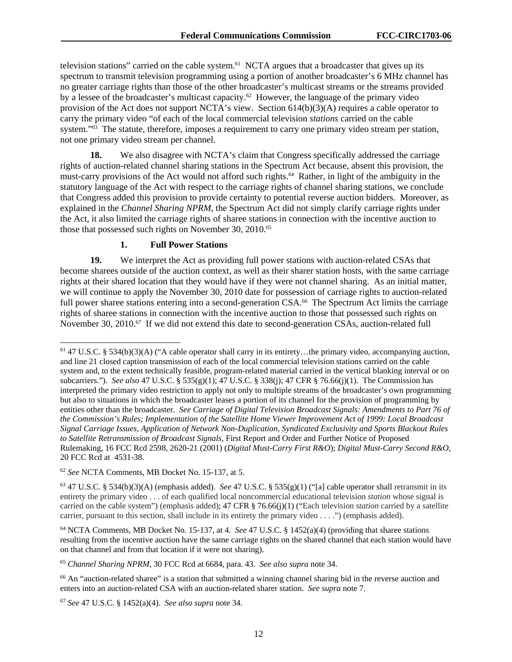television stations" carried on the cable system.<sup>61</sup> NCTA argues that a broadcaster that gives up its spectrum to transmit television programming using a portion of another broadcaster's 6 MHz channel has no greater carriage rights than those of the other broadcaster's multicast streams or the streams provided by a lessee of the broadcaster's multicast capacity.<sup>62</sup> However, the language of the primary video provision of the Act does not support NCTA's view. Section 614(b)(3)(A) requires a cable operator to carry the primary video "of each of the local commercial television *stations* carried on the cable system."<sup>63</sup> The statute, therefore, imposes a requirement to carry one primary video stream per station, not one primary video stream per channel.

**18.** We also disagree with NCTA's claim that Congress specifically addressed the carriage rights of auction-related channel sharing stations in the Spectrum Act because, absent this provision, the must-carry provisions of the Act would not afford such rights.<sup>64</sup> Rather, in light of the ambiguity in the statutory language of the Act with respect to the carriage rights of channel sharing stations, we conclude that Congress added this provision to provide certainty to potential reverse auction bidders. Moreover, as explained in the *Channel Sharing NPRM*, the Spectrum Act did not simply clarify carriage rights under the Act, it also limited the carriage rights of sharee stations in connection with the incentive auction to those that possessed such rights on November 30, 2010.<sup>65</sup>

#### **1. Full Power Stations**

**19.** We interpret the Act as providing full power stations with auction-related CSAs that become sharees outside of the auction context, as well as their sharer station hosts, with the same carriage rights at their shared location that they would have if they were not channel sharing. As an initial matter, we will continue to apply the November 30, 2010 date for possession of carriage rights to auction-related full power sharee stations entering into a second-generation CSA.<sup>66</sup> The Spectrum Act limits the carriage rights of sharee stations in connection with the incentive auction to those that possessed such rights on November 30, 2010.<sup>67</sup> If we did not extend this date to second-generation CSAs, auction-related full

l

<sup>61 47</sup> U.S.C. § 534(b)(3)(A) ("A cable operator shall carry in its entirety…the primary video, accompanying auction, and line 21 closed caption transmission of each of the local commercial television stations carried on the cable system and, to the extent technically feasible, program-related material carried in the vertical blanking interval or on subcarriers."). *See also* 47 U.S.C. § 535(g)(1); 47 U.S.C. § 338(j); 47 CFR § 76.66(j)(1). The Commission has interpreted the primary video restriction to apply not only to multiple streams of the broadcaster's own programming but also to situations in which the broadcaster leases a portion of its channel for the provision of programming by entities other than the broadcaster. *See Carriage of Digital Television Broadcast Signals: Amendments to Part 76 of the Commission's Rules; Implementation of the Satellite Home Viewer Improvement Act of 1999: Local Broadcast Signal Carriage Issues, Application of Network Non-Duplication, Syndicated Exclusivity and Sports Blackout Rules to Satellite Retransmission of Broadcast Signals*, First Report and Order and Further Notice of Proposed Rulemaking, 16 FCC Rcd 2598, 2620-21 (2001) (*Digital Must-Carry First R&O*); *Digital Must-Carry Second R&O*, 20 FCC Rcd at 4531-38.

<sup>62</sup> *See* NCTA Comments, MB Docket No. 15-137, at 5.

<sup>63 47</sup> U.S.C. § 534(b)(3)(A) (emphasis added). *See* 47 U.S.C. § 535(g)(1) ("[a] cable operator shall retransmit in its entirety the primary video . . . of each qualified local noncommercial educational television *station* whose signal is carried on the cable system") (emphasis added); 47 CFR § 76.66(j)(1) ("Each television *station* carried by a satellite carrier, pursuant to this section, shall include in its entirety the primary video . . . .") (emphasis added).

<sup>64</sup> NCTA Comments, MB Docket No. 15-137, at 4. *See* 47 U.S.C. § 1452(a)(4) (providing that sharee stations resulting from the incentive auction have the same carriage rights on the shared channel that each station would have on that channel and from that location if it were not sharing).

<sup>65</sup> *Channel Sharing NPRM*, 30 FCC Rcd at 6684, para. 43. *See also supra* note 34.

<sup>66</sup> An "auction-related sharee" is a station that submitted a winning channel sharing bid in the reverse auction and enters into an auction-related CSA with an auction-related sharer station. *See supra* note 7.

<sup>67</sup> *See* 47 U.S.C. § 1452(a)(4). *See also supra* note 34.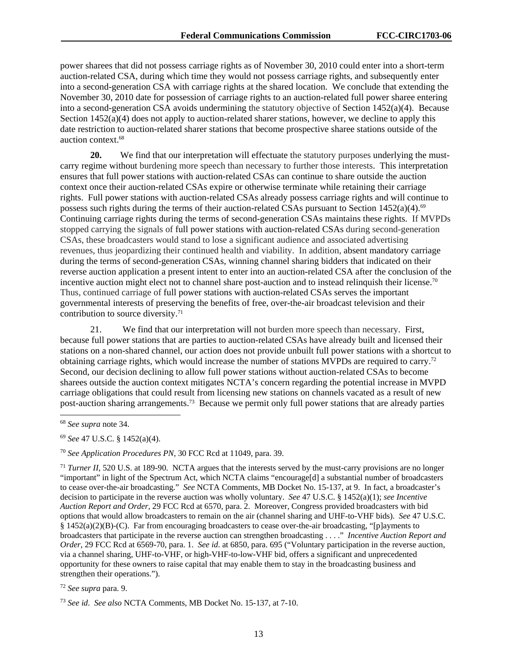power sharees that did not possess carriage rights as of November 30, 2010 could enter into a short-term auction-related CSA, during which time they would not possess carriage rights, and subsequently enter into a second-generation CSA with carriage rights at the shared location. We conclude that extending the November 30, 2010 date for possession of carriage rights to an auction-related full power sharee entering into a second-generation CSA avoids undermining the statutory objective of Section 1452(a)(4). Because Section 1452(a)(4) does not apply to auction-related sharer stations, however, we decline to apply this date restriction to auction-related sharer stations that become prospective sharee stations outside of the auction context.68

**20.** We find that our interpretation will effectuate the statutory purposes underlying the mustcarry regime without burdening more speech than necessary to further those interests. This interpretation ensures that full power stations with auction-related CSAs can continue to share outside the auction context once their auction-related CSAs expire or otherwise terminate while retaining their carriage rights. Full power stations with auction-related CSAs already possess carriage rights and will continue to possess such rights during the terms of their auction-related CSAs pursuant to Section  $1452(a)(4).<sup>69</sup>$ Continuing carriage rights during the terms of second-generation CSAs maintains these rights. If MVPDs stopped carrying the signals of full power stations with auction-related CSAs during second-generation CSAs, these broadcasters would stand to lose a significant audience and associated advertising revenues, thus jeopardizing their continued health and viability. In addition, absent mandatory carriage during the terms of second-generation CSAs, winning channel sharing bidders that indicated on their reverse auction application a present intent to enter into an auction-related CSA after the conclusion of the incentive auction might elect not to channel share post-auction and to instead relinquish their license.<sup>70</sup> Thus, continued carriage of full power stations with auction-related CSAs serves the important governmental interests of preserving the benefits of free, over-the-air broadcast television and their contribution to source diversity.<sup>71</sup>

21. We find that our interpretation will not burden more speech than necessary. First, because full power stations that are parties to auction-related CSAs have already built and licensed their stations on a non-shared channel, our action does not provide unbuilt full power stations with a shortcut to obtaining carriage rights, which would increase the number of stations MVPDs are required to carry.72 Second, our decision declining to allow full power stations without auction-related CSAs to become sharees outside the auction context mitigates NCTA's concern regarding the potential increase in MVPD carriage obligations that could result from licensing new stations on channels vacated as a result of new post-auction sharing arrangements.73 Because we permit only full power stations that are already parties

1

<sup>69</sup> *See* 47 U.S.C. § 1452(a)(4).

<sup>70</sup> *See Application Procedures PN,* 30 FCC Rcd at 11049, para. 39.

<sup>71</sup> *Turner II*, 520 U.S. at 189-90. NCTA argues that the interests served by the must-carry provisions are no longer "important" in light of the Spectrum Act, which NCTA claims "encourage[d] a substantial number of broadcasters to cease over-the-air broadcasting." *See* NCTA Comments, MB Docket No. 15-137, at 9. In fact, a broadcaster's decision to participate in the reverse auction was wholly voluntary. *See* 47 U.S.C. § 1452(a)(1); *see Incentive Auction Report and Order*, 29 FCC Rcd at 6570, para. 2. Moreover, Congress provided broadcasters with bid options that would allow broadcasters to remain on the air (channel sharing and UHF-to-VHF bids). *See* 47 U.S.C. § 1452(a)(2)(B)-(C). Far from encouraging broadcasters to cease over-the-air broadcasting, "[p]ayments to broadcasters that participate in the reverse auction can strengthen broadcasting . . . ." *Incentive Auction Report and Order*, 29 FCC Rcd at 6569-70, para. 1. *See id*. at 6850, para. 695 ("Voluntary participation in the reverse auction, via a channel sharing, UHF-to-VHF, or high-VHF-to-low-VHF bid, offers a significant and unprecedented opportunity for these owners to raise capital that may enable them to stay in the broadcasting business and strengthen their operations.").

<sup>72</sup> *See supra* para. 9.

<sup>73</sup> *See id*. *See also* NCTA Comments, MB Docket No. 15-137, at 7-10.

<sup>68</sup> *See supra* note 34.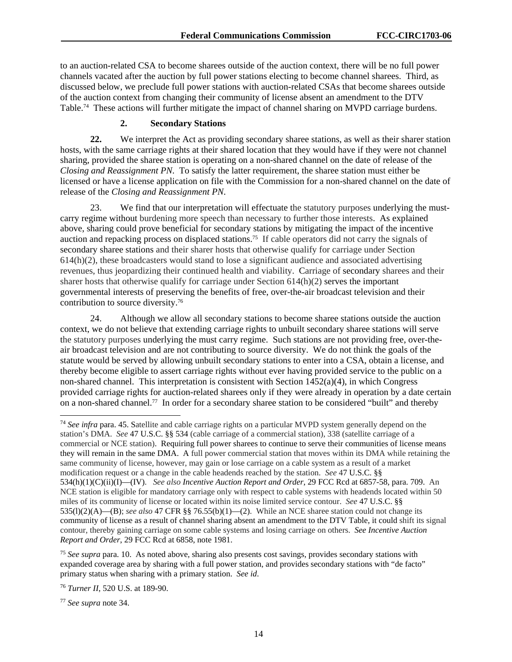to an auction-related CSA to become sharees outside of the auction context, there will be no full power channels vacated after the auction by full power stations electing to become channel sharees. Third, as discussed below, we preclude full power stations with auction-related CSAs that become sharees outside of the auction context from changing their community of license absent an amendment to the DTV Table.74 These actions will further mitigate the impact of channel sharing on MVPD carriage burdens.

## **2. Secondary Stations**

**22.** We interpret the Act as providing secondary sharee stations, as well as their sharer station hosts, with the same carriage rights at their shared location that they would have if they were not channel sharing, provided the sharee station is operating on a non-shared channel on the date of release of the *Closing and Reassignment PN*. To satisfy the latter requirement, the sharee station must either be licensed or have a license application on file with the Commission for a non-shared channel on the date of release of the *Closing and Reassignment PN*.

23. We find that our interpretation will effectuate the statutory purposes underlying the mustcarry regime without burdening more speech than necessary to further those interests. As explained above, sharing could prove beneficial for secondary stations by mitigating the impact of the incentive auction and repacking process on displaced stations.75 If cable operators did not carry the signals of secondary sharee stations and their sharer hosts that otherwise qualify for carriage under Section 614(h)(2), these broadcasters would stand to lose a significant audience and associated advertising revenues, thus jeopardizing their continued health and viability. Carriage of secondary sharees and their sharer hosts that otherwise qualify for carriage under Section 614(h)(2) serves the important governmental interests of preserving the benefits of free, over-the-air broadcast television and their contribution to source diversity.76

24. Although we allow all secondary stations to become sharee stations outside the auction context, we do not believe that extending carriage rights to unbuilt secondary sharee stations will serve the statutory purposes underlying the must carry regime. Such stations are not providing free, over-theair broadcast television and are not contributing to source diversity. We do not think the goals of the statute would be served by allowing unbuilt secondary stations to enter into a CSA, obtain a license, and thereby become eligible to assert carriage rights without ever having provided service to the public on a non-shared channel. This interpretation is consistent with Section 1452(a)(4), in which Congress provided carriage rights for auction-related sharees only if they were already in operation by a date certain on a non-shared channel.77 In order for a secondary sharee station to be considered "built" and thereby

<sup>74</sup> *See infra* para. 45. Satellite and cable carriage rights on a particular MVPD system generally depend on the station's DMA. *See* 47 U.S.C. §§ 534 (cable carriage of a commercial station), 338 (satellite carriage of a commercial or NCE station). Requiring full power sharees to continue to serve their communities of license means they will remain in the same DMA. A full power commercial station that moves within its DMA while retaining the same community of license, however, may gain or lose carriage on a cable system as a result of a market modification request or a change in the cable headends reached by the station. *See* 47 U.S.C. §§ 534(h)(1)(C)(ii)(I)—(IV). *See also Incentive Auction Report and Order*, 29 FCC Rcd at 6857-58, para. 709. An NCE station is eligible for mandatory carriage only with respect to cable systems with headends located within 50 miles of its community of license or located within its noise limited service contour. *See* 47 U.S.C. §§ 535(l)(2)(A)—(B); *see also* 47 CFR §§ 76.55(b)(1)—(2). While an NCE sharee station could not change its community of license as a result of channel sharing absent an amendment to the DTV Table, it could shift its signal contour, thereby gaining carriage on some cable systems and losing carriage on others. *See Incentive Auction Report and Order*, 29 FCC Rcd at 6858, note 1981.

<sup>75</sup> *See supra* para. 10. As noted above, sharing also presents cost savings, provides secondary stations with expanded coverage area by sharing with a full power station, and provides secondary stations with "de facto" primary status when sharing with a primary station. *See id*.

<sup>77</sup> *See supra* note 34.

1

<sup>76</sup> *Turner II*, 520 U.S. at 189-90.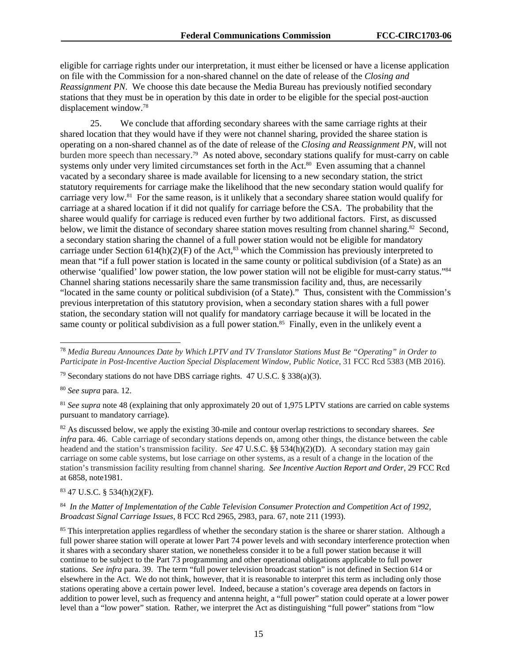eligible for carriage rights under our interpretation, it must either be licensed or have a license application on file with the Commission for a non-shared channel on the date of release of the *Closing and Reassignment PN*. We choose this date because the Media Bureau has previously notified secondary stations that they must be in operation by this date in order to be eligible for the special post-auction displacement window.78

25. We conclude that affording secondary sharees with the same carriage rights at their shared location that they would have if they were not channel sharing, provided the sharee station is operating on a non-shared channel as of the date of release of the *Closing and Reassignment PN*, will not burden more speech than necessary. 79 As noted above, secondary stations qualify for must-carry on cable systems only under very limited circumstances set forth in the Act.<sup>80</sup> Even assuming that a channel vacated by a secondary sharee is made available for licensing to a new secondary station, the strict statutory requirements for carriage make the likelihood that the new secondary station would qualify for carriage very low.81 For the same reason, is it unlikely that a secondary sharee station would qualify for carriage at a shared location if it did not qualify for carriage before the CSA. The probability that the sharee would qualify for carriage is reduced even further by two additional factors. First, as discussed below, we limit the distance of secondary sharee station moves resulting from channel sharing.<sup>82</sup> Second, a secondary station sharing the channel of a full power station would not be eligible for mandatory carriage under Section  $614(h)(2)(F)$  of the Act,<sup>83</sup> which the Commission has previously interpreted to mean that "if a full power station is located in the same county or political subdivision (of a State) as an otherwise 'qualified' low power station, the low power station will not be eligible for must-carry status."84 Channel sharing stations necessarily share the same transmission facility and, thus, are necessarily "located in the same county or political subdivision (of a State)." Thus, consistent with the Commission's previous interpretation of this statutory provision, when a secondary station shares with a full power station, the secondary station will not qualify for mandatory carriage because it will be located in the same county or political subdivision as a full power station.<sup>85</sup> Finally, even in the unlikely event a

<sup>80</sup> *See supra* para. 12.

1

<sup>81</sup> See supra note 48 (explaining that only approximately 20 out of 1,975 LPTV stations are carried on cable systems pursuant to mandatory carriage).

82 As discussed below, we apply the existing 30-mile and contour overlap restrictions to secondary sharees. *See infra* para. 46. Cable carriage of secondary stations depends on, among other things, the distance between the cable headend and the station's transmission facility. *See* 47 U.S.C. §§ 534(h)(2)(D). A secondary station may gain carriage on some cable systems, but lose carriage on other systems, as a result of a change in the location of the station's transmission facility resulting from channel sharing. *See Incentive Auction Report and Order*, 29 FCC Rcd at 6858, note1981.

# 83 47 U.S.C. § 534(h)(2)(F).

<sup>84</sup> *In the Matter of Implementation of the Cable Television Consumer Protection and Competition Act of 1992, Broadcast Signal Carriage Issues*, 8 FCC Rcd 2965, 2983, para. 67, note 211 (1993).

<sup>85</sup> This interpretation applies regardless of whether the secondary station is the sharee or sharer station. Although a full power sharee station will operate at lower Part 74 power levels and with secondary interference protection when it shares with a secondary sharer station, we nonetheless consider it to be a full power station because it will continue to be subject to the Part 73 programming and other operational obligations applicable to full power stations. *See infra* para. 39. The term "full power television broadcast station" is not defined in Section 614 or elsewhere in the Act. We do not think, however, that it is reasonable to interpret this term as including only those stations operating above a certain power level. Indeed, because a station's coverage area depends on factors in addition to power level, such as frequency and antenna height, a "full power" station could operate at a lower power level than a "low power" station. Rather, we interpret the Act as distinguishing "full power" stations from "low

<sup>78</sup> *Media Bureau Announces Date by Which LPTV and TV Translator Stations Must Be "Operating" in Order to Participate in Post-Incentive Auction Special Displacement Window, Public Notice*, 31 FCC Rcd 5383 (MB 2016).

<sup>&</sup>lt;sup>79</sup> Secondary stations do not have DBS carriage rights.  $47 \text{ U.S.C.}$  §  $338(a)(3)$ .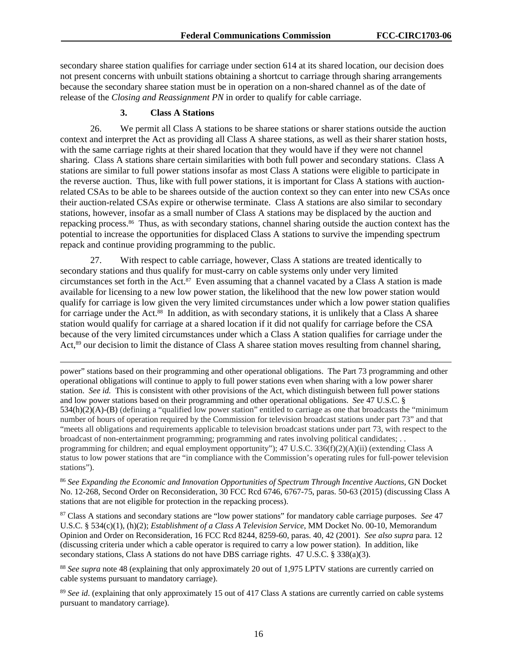secondary sharee station qualifies for carriage under section 614 at its shared location, our decision does not present concerns with unbuilt stations obtaining a shortcut to carriage through sharing arrangements because the secondary sharee station must be in operation on a non-shared channel as of the date of release of the *Closing and Reassignment PN* in order to qualify for cable carriage.

## **3. Class A Stations**

26. We permit all Class A stations to be sharee stations or sharer stations outside the auction context and interpret the Act as providing all Class A sharee stations, as well as their sharer station hosts, with the same carriage rights at their shared location that they would have if they were not channel sharing. Class A stations share certain similarities with both full power and secondary stations. Class A stations are similar to full power stations insofar as most Class A stations were eligible to participate in the reverse auction. Thus, like with full power stations, it is important for Class A stations with auctionrelated CSAs to be able to be sharees outside of the auction context so they can enter into new CSAs once their auction-related CSAs expire or otherwise terminate. Class A stations are also similar to secondary stations, however, insofar as a small number of Class A stations may be displaced by the auction and repacking process.86 Thus, as with secondary stations, channel sharing outside the auction context has the potential to increase the opportunities for displaced Class A stations to survive the impending spectrum repack and continue providing programming to the public.

27. With respect to cable carriage, however, Class A stations are treated identically to secondary stations and thus qualify for must-carry on cable systems only under very limited circumstances set forth in the Act.87 Even assuming that a channel vacated by a Class A station is made available for licensing to a new low power station, the likelihood that the new low power station would qualify for carriage is low given the very limited circumstances under which a low power station qualifies for carriage under the Act.<sup>88</sup> In addition, as with secondary stations, it is unlikely that a Class A sharee station would qualify for carriage at a shared location if it did not qualify for carriage before the CSA because of the very limited circumstances under which a Class A station qualifies for carriage under the Act,<sup>89</sup> our decision to limit the distance of Class A sharee station moves resulting from channel sharing,

l power" stations based on their programming and other operational obligations. The Part 73 programming and other operational obligations will continue to apply to full power stations even when sharing with a low power sharer station. *See id.* This is consistent with other provisions of the Act, which distinguish between full power stations and low power stations based on their programming and other operational obligations. *See* 47 U.S.C. § 534(h)(2)(A)-(B) (defining a "qualified low power station" entitled to carriage as one that broadcasts the "minimum number of hours of operation required by the Commission for television broadcast stations under part 73" and that "meets all obligations and requirements applicable to television broadcast stations under part 73, with respect to the broadcast of non-entertainment programming; programming and rates involving political candidates; . . programming for children; and equal employment opportunity"); 47 U.S.C. 336(f)(2)(A)(ii) (extending Class A status to low power stations that are "in compliance with the Commission's operating rules for full-power television stations").

<sup>86</sup> *See Expanding the Economic and Innovation Opportunities of Spectrum Through Incentive Auctions*, GN Docket No. 12-268, Second Order on Reconsideration, 30 FCC Rcd 6746, 6767-75, paras. 50-63 (2015) (discussing Class A stations that are not eligible for protection in the repacking process).

87 Class A stations and secondary stations are "low power stations" for mandatory cable carriage purposes. *See* 47 U.S.C. § 534(c)(1), (h)(2); *Establishment of a Class A Television Service*, MM Docket No. 00-10, Memorandum Opinion and Order on Reconsideration, 16 FCC Rcd 8244, 8259-60, paras. 40, 42 (2001). *See also supra* para. 12 (discussing criteria under which a cable operator is required to carry a low power station). In addition, like secondary stations, Class A stations do not have DBS carriage rights. 47 U.S.C. § 338(a)(3).

<sup>88</sup> *See supra* note 48 (explaining that only approximately 20 out of 1,975 LPTV stations are currently carried on cable systems pursuant to mandatory carriage).

<sup>89</sup> *See id.* (explaining that only approximately 15 out of 417 Class A stations are currently carried on cable systems pursuant to mandatory carriage).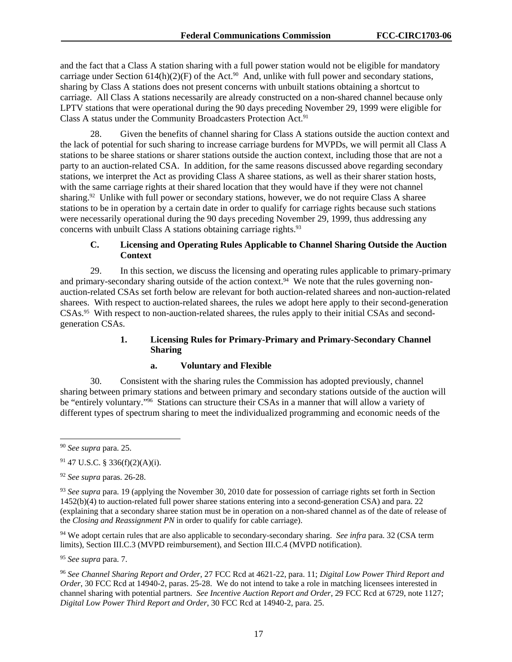and the fact that a Class A station sharing with a full power station would not be eligible for mandatory carriage under Section  $614(h)(2)(F)$  of the Act.<sup>90</sup> And, unlike with full power and secondary stations, sharing by Class A stations does not present concerns with unbuilt stations obtaining a shortcut to carriage. All Class A stations necessarily are already constructed on a non-shared channel because only LPTV stations that were operational during the 90 days preceding November 29, 1999 were eligible for Class A status under the Community Broadcasters Protection Act.<sup>91</sup>

28. Given the benefits of channel sharing for Class A stations outside the auction context and the lack of potential for such sharing to increase carriage burdens for MVPDs, we will permit all Class A stations to be sharee stations or sharer stations outside the auction context, including those that are not a party to an auction-related CSA. In addition, for the same reasons discussed above regarding secondary stations, we interpret the Act as providing Class A sharee stations, as well as their sharer station hosts, with the same carriage rights at their shared location that they would have if they were not channel sharing.<sup>92</sup> Unlike with full power or secondary stations, however, we do not require Class A sharee stations to be in operation by a certain date in order to qualify for carriage rights because such stations were necessarily operational during the 90 days preceding November 29, 1999, thus addressing any concerns with unbuilt Class A stations obtaining carriage rights.<sup>93</sup>

## **C. Licensing and Operating Rules Applicable to Channel Sharing Outside the Auction Context**

29. In this section, we discuss the licensing and operating rules applicable to primary-primary and primary-secondary sharing outside of the action context.<sup>94</sup> We note that the rules governing nonauction-related CSAs set forth below are relevant for both auction-related sharees and non-auction-related sharees. With respect to auction-related sharees, the rules we adopt here apply to their second-generation CSAs.95 With respect to non-auction-related sharees, the rules apply to their initial CSAs and secondgeneration CSAs.

# **1. Licensing Rules for Primary-Primary and Primary-Secondary Channel Sharing**

# **a. Voluntary and Flexible**

30. Consistent with the sharing rules the Commission has adopted previously, channel sharing between primary stations and between primary and secondary stations outside of the auction will be "entirely voluntary."<sup>96</sup> Stations can structure their CSAs in a manner that will allow a variety of different types of spectrum sharing to meet the individualized programming and economic needs of the

l

94 We adopt certain rules that are also applicable to secondary-secondary sharing. *See infra* para. 32 (CSA term limits), Section III.C.3 (MVPD reimbursement), and Section III.C.4 (MVPD notification).

<sup>95</sup> *See supra* para. 7.

<sup>96</sup> *See Channel Sharing Report and Order*, 27 FCC Rcd at 4621-22, para. 11; *Digital Low Power Third Report and Order*, 30 FCC Rcd at 14940-2, paras. 25-28. We do not intend to take a role in matching licensees interested in channel sharing with potential partners. *See Incentive Auction Report and Order*, 29 FCC Rcd at 6729, note 1127; *Digital Low Power Third Report and Order*, 30 FCC Rcd at 14940-2, para. 25.

<sup>90</sup> *See supra* para. 25.

<sup>91 47</sup> U.S.C. § 336(f)(2)(A)(i).

<sup>92</sup> *See supra* paras. 26-28.

<sup>93</sup> *See supra* para. 19 (applying the November 30, 2010 date for possession of carriage rights set forth in Section 1452(b)(4) to auction-related full power sharee stations entering into a second-generation CSA) and para. 22 (explaining that a secondary sharee station must be in operation on a non-shared channel as of the date of release of the *Closing and Reassignment PN* in order to qualify for cable carriage).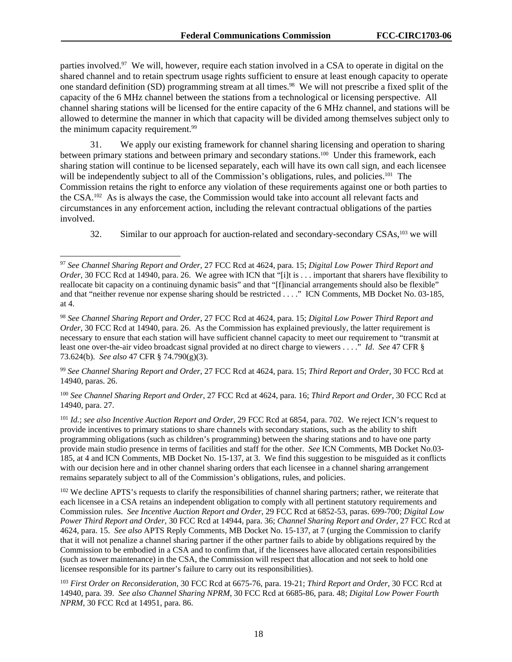parties involved.<sup>97</sup> We will, however, require each station involved in a CSA to operate in digital on the shared channel and to retain spectrum usage rights sufficient to ensure at least enough capacity to operate one standard definition (SD) programming stream at all times.98 We will not prescribe a fixed split of the capacity of the 6 MHz channel between the stations from a technological or licensing perspective. All channel sharing stations will be licensed for the entire capacity of the 6 MHz channel, and stations will be allowed to determine the manner in which that capacity will be divided among themselves subject only to the minimum capacity requirement.<sup>99</sup>

31. We apply our existing framework for channel sharing licensing and operation to sharing between primary stations and between primary and secondary stations.<sup>100</sup> Under this framework, each sharing station will continue to be licensed separately, each will have its own call sign, and each licensee will be independently subject to all of the Commission's obligations, rules, and policies.<sup>101</sup> The Commission retains the right to enforce any violation of these requirements against one or both parties to the CSA.102 As is always the case, the Commission would take into account all relevant facts and circumstances in any enforcement action, including the relevant contractual obligations of the parties involved.

32. Similar to our approach for auction-related and secondary-secondary CSAs,103 we will

1

<sup>99</sup> *See Channel Sharing Report and Order*, 27 FCC Rcd at 4624, para. 15; *Third Report and Order*, 30 FCC Rcd at 14940, paras. 26.

<sup>100</sup> *See Channel Sharing Report and Order*, 27 FCC Rcd at 4624, para. 16; *Third Report and Order*, 30 FCC Rcd at 14940, para. 27.

<sup>101</sup> *Id.*; *see also Incentive Auction Report and Order*, 29 FCC Rcd at 6854, para. 702. We reject ICN's request to provide incentives to primary stations to share channels with secondary stations, such as the ability to shift programming obligations (such as children's programming) between the sharing stations and to have one party provide main studio presence in terms of facilities and staff for the other. *See* ICN Comments, MB Docket No.03- 185, at 4 and ICN Comments, MB Docket No. 15-137, at 3. We find this suggestion to be misguided as it conflicts with our decision here and in other channel sharing orders that each licensee in a channel sharing arrangement remains separately subject to all of the Commission's obligations, rules, and policies.

<sup>102</sup> We decline APTS's requests to clarify the responsibilities of channel sharing partners; rather, we reiterate that each licensee in a CSA retains an independent obligation to comply with all pertinent statutory requirements and Commission rules. *See Incentive Auction Report and Order*, 29 FCC Rcd at 6852-53, paras. 699-700; *Digital Low Power Third Report and Order*, 30 FCC Rcd at 14944, para. 36; *Channel Sharing Report and Order*, 27 FCC Rcd at 4624, para. 15. *See also* APTS Reply Comments, MB Docket No. 15-137, at 7 (urging the Commission to clarify that it will not penalize a channel sharing partner if the other partner fails to abide by obligations required by the Commission to be embodied in a CSA and to confirm that, if the licensees have allocated certain responsibilities (such as tower maintenance) in the CSA, the Commission will respect that allocation and not seek to hold one licensee responsible for its partner's failure to carry out its responsibilities).

<sup>103</sup> *First Order on Reconsideration*, 30 FCC Rcd at 6675-76, para. 19-21; *Third Report and Order*, 30 FCC Rcd at 14940, para. 39. *See also Channel Sharing NPRM*, 30 FCC Rcd at 6685-86, para. 48; *Digital Low Power Fourth NPRM*, 30 FCC Rcd at 14951, para. 86.

<sup>97</sup> *See Channel Sharing Report and Order*, 27 FCC Rcd at 4624, para. 15; *Digital Low Power Third Report and Order*, 30 FCC Rcd at 14940, para. 26. We agree with ICN that "[i]t is . . . important that sharers have flexibility to reallocate bit capacity on a continuing dynamic basis" and that "[f]inancial arrangements should also be flexible" and that "neither revenue nor expense sharing should be restricted . . . ." ICN Comments, MB Docket No. 03-185, at 4.

<sup>98</sup> *See Channel Sharing Report and Order*, 27 FCC Rcd at 4624, para. 15; *Digital Low Power Third Report and Order*, 30 FCC Rcd at 14940, para. 26. As the Commission has explained previously, the latter requirement is necessary to ensure that each station will have sufficient channel capacity to meet our requirement to "transmit at least one over-the-air video broadcast signal provided at no direct charge to viewers . . . ." *Id*. *See* 47 CFR § 73.624(b). *See also* 47 CFR § 74.790(g)(3).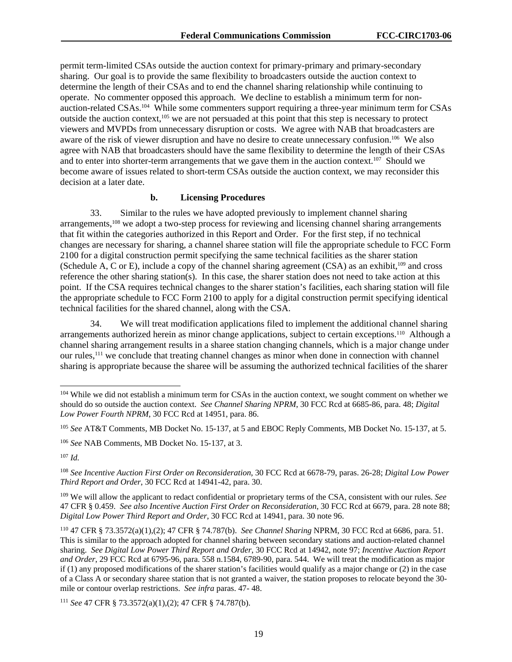permit term-limited CSAs outside the auction context for primary-primary and primary-secondary sharing. Our goal is to provide the same flexibility to broadcasters outside the auction context to determine the length of their CSAs and to end the channel sharing relationship while continuing to operate. No commenter opposed this approach. We decline to establish a minimum term for nonauction-related CSAs.104 While some commenters support requiring a three-year minimum term for CSAs outside the auction context,<sup>105</sup> we are not persuaded at this point that this step is necessary to protect viewers and MVPDs from unnecessary disruption or costs. We agree with NAB that broadcasters are aware of the risk of viewer disruption and have no desire to create unnecessary confusion.<sup>106</sup> We also agree with NAB that broadcasters should have the same flexibility to determine the length of their CSAs and to enter into shorter-term arrangements that we gave them in the auction context.<sup>107</sup> Should we become aware of issues related to short-term CSAs outside the auction context, we may reconsider this decision at a later date.

## **b. Licensing Procedures**

33. Similar to the rules we have adopted previously to implement channel sharing arrangements,<sup>108</sup> we adopt a two-step process for reviewing and licensing channel sharing arrangements that fit within the categories authorized in this Report and Order. For the first step, if no technical changes are necessary for sharing, a channel sharee station will file the appropriate schedule to FCC Form 2100 for a digital construction permit specifying the same technical facilities as the sharer station (Schedule A, C or E), include a copy of the channel sharing agreement (CSA) as an exhibit,109 and cross reference the other sharing station(s). In this case, the sharer station does not need to take action at this point. If the CSA requires technical changes to the sharer station's facilities, each sharing station will file the appropriate schedule to FCC Form 2100 to apply for a digital construction permit specifying identical technical facilities for the shared channel, along with the CSA.

34. We will treat modification applications filed to implement the additional channel sharing arrangements authorized herein as minor change applications, subject to certain exceptions.110 Although a channel sharing arrangement results in a sharee station changing channels, which is a major change under our rules,<sup>111</sup> we conclude that treating channel changes as minor when done in connection with channel sharing is appropriate because the sharee will be assuming the authorized technical facilities of the sharer

 $107$  *Id.* 

-

<sup>&</sup>lt;sup>104</sup> While we did not establish a minimum term for CSAs in the auction context, we sought comment on whether we should do so outside the auction context. *See Channel Sharing NPRM*, 30 FCC Rcd at 6685-86, para. 48; *Digital Low Power Fourth NPRM*, 30 FCC Rcd at 14951, para. 86.

<sup>105</sup> *See* AT&T Comments, MB Docket No. 15-137, at 5 and EBOC Reply Comments, MB Docket No. 15-137, at 5.

<sup>106</sup> *See* NAB Comments, MB Docket No. 15-137, at 3.

<sup>108</sup> *See Incentive Auction First Order on Reconsideration*, 30 FCC Rcd at 6678-79, paras. 26-28; *Digital Low Power Third Report and Order*, 30 FCC Rcd at 14941-42, para. 30.

<sup>109</sup> We will allow the applicant to redact confidential or proprietary terms of the CSA, consistent with our rules. *See* 47 CFR § 0.459. *See also Incentive Auction First Order on Reconsideration*, 30 FCC Rcd at 6679, para. 28 note 88; *Digital Low Power Third Report and Order*, 30 FCC Rcd at 14941, para. 30 note 96.

<sup>110 47</sup> CFR § 73.3572(a)(1),(2); 47 CFR § 74.787(b). *See Channel Sharing* NPRM, 30 FCC Rcd at 6686, para. 51. This is similar to the approach adopted for channel sharing between secondary stations and auction-related channel sharing. *See Digital Low Power Third Report and Order*, 30 FCC Rcd at 14942, note 97; *Incentive Auction Report and Order*, 29 FCC Rcd at 6795-96, para. 558 n.1584, 6789-90, para. 544. We will treat the modification as major if  $(1)$  any proposed modifications of the sharer station's facilities would qualify as a major change or  $(2)$  in the case of a Class A or secondary sharee station that is not granted a waiver, the station proposes to relocate beyond the 30 mile or contour overlap restrictions. *See infra* paras. 47- 48.

<sup>111</sup> *See* 47 CFR § 73.3572(a)(1),(2); 47 CFR § 74.787(b).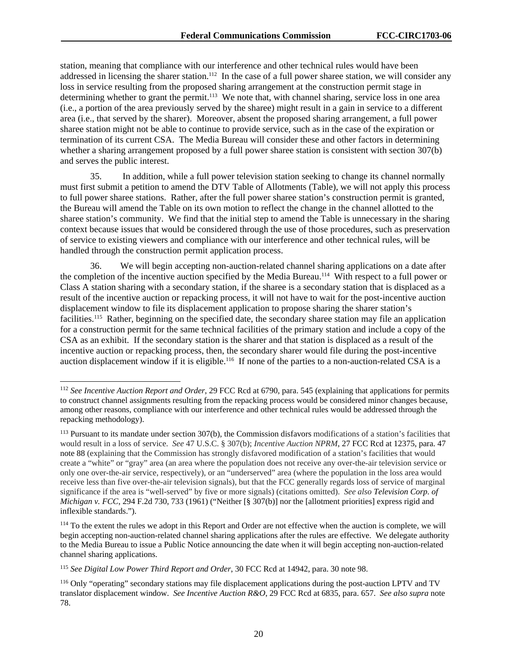station, meaning that compliance with our interference and other technical rules would have been addressed in licensing the sharer station.<sup>112</sup> In the case of a full power sharee station, we will consider any loss in service resulting from the proposed sharing arrangement at the construction permit stage in determining whether to grant the permit.<sup>113</sup> We note that, with channel sharing, service loss in one area (i.e., a portion of the area previously served by the sharee) might result in a gain in service to a different area (i.e., that served by the sharer). Moreover, absent the proposed sharing arrangement, a full power sharee station might not be able to continue to provide service, such as in the case of the expiration or termination of its current CSA. The Media Bureau will consider these and other factors in determining whether a sharing arrangement proposed by a full power sharee station is consistent with section 307(b) and serves the public interest.

35. In addition, while a full power television station seeking to change its channel normally must first submit a petition to amend the DTV Table of Allotments (Table), we will not apply this process to full power sharee stations. Rather, after the full power sharee station's construction permit is granted, the Bureau will amend the Table on its own motion to reflect the change in the channel allotted to the sharee station's community. We find that the initial step to amend the Table is unnecessary in the sharing context because issues that would be considered through the use of those procedures, such as preservation of service to existing viewers and compliance with our interference and other technical rules, will be handled through the construction permit application process.

36. We will begin accepting non-auction-related channel sharing applications on a date after the completion of the incentive auction specified by the Media Bureau.114 With respect to a full power or Class A station sharing with a secondary station, if the sharee is a secondary station that is displaced as a result of the incentive auction or repacking process, it will not have to wait for the post-incentive auction displacement window to file its displacement application to propose sharing the sharer station's facilities.115 Rather, beginning on the specified date, the secondary sharee station may file an application for a construction permit for the same technical facilities of the primary station and include a copy of the CSA as an exhibit. If the secondary station is the sharer and that station is displaced as a result of the incentive auction or repacking process, then, the secondary sharer would file during the post-incentive auction displacement window if it is eligible.<sup>116</sup> If none of the parties to a non-auction-related CSA is a

1

<sup>112</sup> *See Incentive Auction Report and Order*, 29 FCC Rcd at 6790, para. 545 (explaining that applications for permits to construct channel assignments resulting from the repacking process would be considered minor changes because, among other reasons, compliance with our interference and other technical rules would be addressed through the repacking methodology).

<sup>113</sup> Pursuant to its mandate under section 307(b), the Commission disfavors modifications of a station's facilities that would result in a loss of service. *See* 47 U.S.C. § 307(b); *Incentive Auction NPRM*, 27 FCC Rcd at 12375, para. 47 note 88 (explaining that the Commission has strongly disfavored modification of a station's facilities that would create a "white" or "gray" area (an area where the population does not receive any over-the-air television service or only one over-the-air service, respectively), or an "underserved" area (where the population in the loss area would receive less than five over-the-air television signals), but that the FCC generally regards loss of service of marginal significance if the area is "well-served" by five or more signals) (citations omitted). *See also Television Corp. of Michigan v. FCC*, 294 F.2d 730, 733 (1961) ("Neither [§ 307(b)] nor the [allotment priorities] express rigid and inflexible standards.").

 $114$  To the extent the rules we adopt in this Report and Order are not effective when the auction is complete, we will begin accepting non-auction-related channel sharing applications after the rules are effective. We delegate authority to the Media Bureau to issue a Public Notice announcing the date when it will begin accepting non-auction-related channel sharing applications.

<sup>115</sup> *See Digital Low Power Third Report and Order*, 30 FCC Rcd at 14942, para. 30 note 98.

<sup>116</sup> Only "operating" secondary stations may file displacement applications during the post-auction LPTV and TV translator displacement window. *See Incentive Auction R&O*, 29 FCC Rcd at 6835, para. 657. *See also supra* note 78.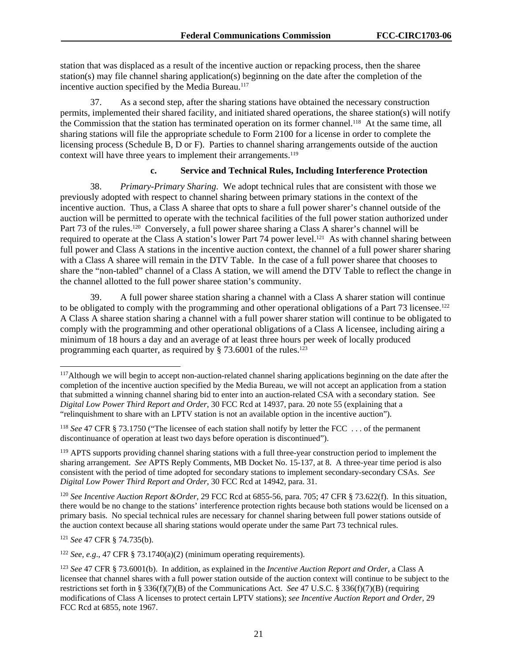station that was displaced as a result of the incentive auction or repacking process, then the sharee station(s) may file channel sharing application(s) beginning on the date after the completion of the incentive auction specified by the Media Bureau.<sup>117</sup>

37. As a second step, after the sharing stations have obtained the necessary construction permits, implemented their shared facility, and initiated shared operations, the sharee station(s) will notify the Commission that the station has terminated operation on its former channel.118 At the same time, all sharing stations will file the appropriate schedule to Form 2100 for a license in order to complete the licensing process (Schedule B, D or F). Parties to channel sharing arrangements outside of the auction context will have three years to implement their arrangements.<sup>119</sup>

## **c. Service and Technical Rules, Including Interference Protection**

38. *Primary-Primary Sharing*. We adopt technical rules that are consistent with those we previously adopted with respect to channel sharing between primary stations in the context of the incentive auction. Thus, a Class A sharee that opts to share a full power sharer's channel outside of the auction will be permitted to operate with the technical facilities of the full power station authorized under Part 73 of the rules.<sup>120</sup> Conversely, a full power sharee sharing a Class A sharer's channel will be required to operate at the Class A station's lower Part 74 power level.<sup>121</sup> As with channel sharing between full power and Class A stations in the incentive auction context, the channel of a full power sharer sharing with a Class A sharee will remain in the DTV Table. In the case of a full power sharee that chooses to share the "non-tabled" channel of a Class A station, we will amend the DTV Table to reflect the change in the channel allotted to the full power sharee station's community.

39. A full power sharee station sharing a channel with a Class A sharer station will continue to be obligated to comply with the programming and other operational obligations of a Part 73 licensee.<sup>122</sup> A Class A sharee station sharing a channel with a full power sharer station will continue to be obligated to comply with the programming and other operational obligations of a Class A licensee, including airing a minimum of 18 hours a day and an average of at least three hours per week of locally produced programming each quarter, as required by  $\S$  73.6001 of the rules.<sup>123</sup>

<sup>120</sup> *See Incentive Auction Report &Order*, 29 FCC Rcd at 6855-56, para. 705; 47 CFR § 73.622(f). In this situation, there would be no change to the stations' interference protection rights because both stations would be licensed on a primary basis. No special technical rules are necessary for channel sharing between full power stations outside of the auction context because all sharing stations would operate under the same Part 73 technical rules.

<sup>121</sup> *See* 47 CFR § 74.735(b).

l

<sup>122</sup> *See, e.g.*, 47 CFR  $\S$  73.1740(a)(2) (minimum operating requirements).

<sup>&</sup>lt;sup>117</sup>Although we will begin to accept non-auction-related channel sharing applications beginning on the date after the completion of the incentive auction specified by the Media Bureau, we will not accept an application from a station that submitted a winning channel sharing bid to enter into an auction-related CSA with a secondary station. See *Digital Low Power Third Report and Order*, 30 FCC Rcd at 14937, para. 20 note 55 (explaining that a "relinquishment to share with an LPTV station is not an available option in the incentive auction").

<sup>&</sup>lt;sup>118</sup> *See* 47 CFR § 73.1750 ("The licensee of each station shall notify by letter the FCC ... of the permanent discontinuance of operation at least two days before operation is discontinued").

<sup>&</sup>lt;sup>119</sup> APTS supports providing channel sharing stations with a full three-year construction period to implement the sharing arrangement. *See* APTS Reply Comments, MB Docket No. 15-137, at 8. A three-year time period is also consistent with the period of time adopted for secondary stations to implement secondary-secondary CSAs. *See Digital Low Power Third Report and Order*, 30 FCC Rcd at 14942, para. 31.

<sup>123</sup> *See* 47 CFR § 73.6001(b). In addition, as explained in the *Incentive Auction Report and Order*, a Class A licensee that channel shares with a full power station outside of the auction context will continue to be subject to the restrictions set forth in § 336(f)(7)(B) of the Communications Act. *See* 47 U.S.C. § 336(f)(7)(B) (requiring modifications of Class A licenses to protect certain LPTV stations); *see Incentive Auction Report and Order*, 29 FCC Rcd at 6855, note 1967.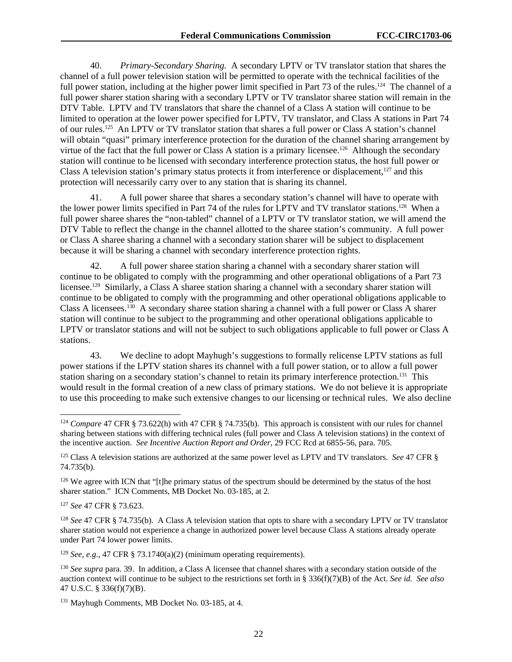40. *Primary-Secondary Sharing.* A secondary LPTV or TV translator station that shares the channel of a full power television station will be permitted to operate with the technical facilities of the full power station, including at the higher power limit specified in Part 73 of the rules.<sup>124</sup> The channel of a full power sharer station sharing with a secondary LPTV or TV translator sharee station will remain in the DTV Table. LPTV and TV translators that share the channel of a Class A station will continue to be limited to operation at the lower power specified for LPTV, TV translator, and Class A stations in Part 74 of our rules.125 An LPTV or TV translator station that shares a full power or Class A station's channel will obtain "quasi" primary interference protection for the duration of the channel sharing arrangement by virtue of the fact that the full power or Class A station is a primary licensee.<sup>126</sup> Although the secondary station will continue to be licensed with secondary interference protection status, the host full power or Class A television station's primary status protects it from interference or displacement,<sup>127</sup> and this protection will necessarily carry over to any station that is sharing its channel.

41. A full power sharee that shares a secondary station's channel will have to operate with the lower power limits specified in Part 74 of the rules for LPTV and TV translator stations.<sup>128</sup> When a full power sharee shares the "non-tabled" channel of a LPTV or TV translator station, we will amend the DTV Table to reflect the change in the channel allotted to the sharee station's community. A full power or Class A sharee sharing a channel with a secondary station sharer will be subject to displacement because it will be sharing a channel with secondary interference protection rights.

42. A full power sharee station sharing a channel with a secondary sharer station will continue to be obligated to comply with the programming and other operational obligations of a Part 73 licensee.129 Similarly, a Class A sharee station sharing a channel with a secondary sharer station will continue to be obligated to comply with the programming and other operational obligations applicable to Class A licensees.130 A secondary sharee station sharing a channel with a full power or Class A sharer station will continue to be subject to the programming and other operational obligations applicable to LPTV or translator stations and will not be subject to such obligations applicable to full power or Class A stations.

43. We decline to adopt Mayhugh's suggestions to formally relicense LPTV stations as full power stations if the LPTV station shares its channel with a full power station, or to allow a full power station sharing on a secondary station's channel to retain its primary interference protection.<sup>131</sup> This would result in the formal creation of a new class of primary stations. We do not believe it is appropriate to use this proceeding to make such extensive changes to our licensing or technical rules. We also decline

<sup>127</sup> *See* 47 CFR § 73.623.

l

<sup>128</sup> *See* 47 CFR § 74.735(b). A Class A television station that opts to share with a secondary LPTV or TV translator sharer station would not experience a change in authorized power level because Class A stations already operate under Part 74 lower power limits.

<sup>129</sup> *See, e.g.*, 47 CFR § 73.1740(a)(2) (minimum operating requirements).

<sup>124</sup> *Compare* 47 CFR § 73.622(h) with 47 CFR § 74.735(b). This approach is consistent with our rules for channel sharing between stations with differing technical rules (full power and Class A television stations) in the context of the incentive auction. *See Incentive Auction Report and Order*, 29 FCC Rcd at 6855-56, para. 705.

<sup>125</sup> Class A television stations are authorized at the same power level as LPTV and TV translators. *See* 47 CFR § 74.735(b).

<sup>&</sup>lt;sup>126</sup> We agree with ICN that "[t]he primary status of the spectrum should be determined by the status of the host sharer station." ICN Comments, MB Docket No. 03-185, at 2*.*

<sup>130</sup> *See supra* para. 39. In addition, a Class A licensee that channel shares with a secondary station outside of the auction context will continue to be subject to the restrictions set forth in § 336(f)(7)(B) of the Act. *See id. See also* 47 U.S.C. § 336(f)(7)(B).

<sup>131</sup> Mayhugh Comments, MB Docket No. 03-185, at 4.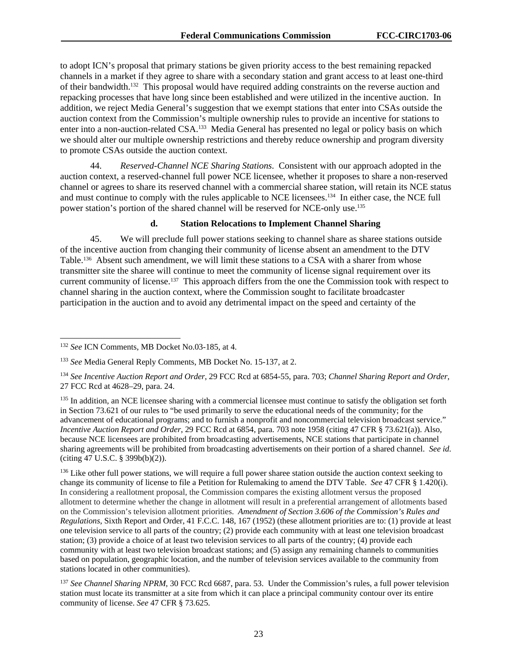to adopt ICN's proposal that primary stations be given priority access to the best remaining repacked channels in a market if they agree to share with a secondary station and grant access to at least one-third of their bandwidth.132 This proposal would have required adding constraints on the reverse auction and repacking processes that have long since been established and were utilized in the incentive auction. In addition, we reject Media General's suggestion that we exempt stations that enter into CSAs outside the auction context from the Commission's multiple ownership rules to provide an incentive for stations to enter into a non-auction-related CSA.<sup>133</sup> Media General has presented no legal or policy basis on which we should alter our multiple ownership restrictions and thereby reduce ownership and program diversity to promote CSAs outside the auction context.

44. *Reserved-Channel NCE Sharing Stations*. Consistent with our approach adopted in the auction context, a reserved-channel full power NCE licensee, whether it proposes to share a non-reserved channel or agrees to share its reserved channel with a commercial sharee station, will retain its NCE status and must continue to comply with the rules applicable to NCE licensees.<sup>134</sup> In either case, the NCE full power station's portion of the shared channel will be reserved for NCE-only use.135

## **d. Station Relocations to Implement Channel Sharing**

45. We will preclude full power stations seeking to channel share as sharee stations outside of the incentive auction from changing their community of license absent an amendment to the DTV Table.136 Absent such amendment, we will limit these stations to a CSA with a sharer from whose transmitter site the sharee will continue to meet the community of license signal requirement over its current community of license.137 This approach differs from the one the Commission took with respect to channel sharing in the auction context, where the Commission sought to facilitate broadcaster participation in the auction and to avoid any detrimental impact on the speed and certainty of the

 $\overline{a}$ 

<sup>132</sup> *See* ICN Comments, MB Docket No.03-185, at 4.

<sup>133</sup> *See* Media General Reply Comments, MB Docket No. 15-137, at 2.

<sup>134</sup> *See Incentive Auction Report and Order*, 29 FCC Rcd at 6854-55, para. 703; *Channel Sharing Report and Order*, 27 FCC Rcd at 4628–29, para. 24.

<sup>&</sup>lt;sup>135</sup> In addition, an NCE licensee sharing with a commercial licensee must continue to satisfy the obligation set forth in Section 73.621 of our rules to "be used primarily to serve the educational needs of the community; for the advancement of educational programs; and to furnish a nonprofit and noncommercial television broadcast service." *Incentive Auction Report and Order*, 29 FCC Rcd at 6854, para. 703 note 1958 (citing 47 CFR § 73.621(a)). Also, because NCE licensees are prohibited from broadcasting advertisements, NCE stations that participate in channel sharing agreements will be prohibited from broadcasting advertisements on their portion of a shared channel. *See id*. (citing 47 U.S.C. § 399b(b)(2)).

<sup>&</sup>lt;sup>136</sup> Like other full power stations, we will require a full power sharee station outside the auction context seeking to change its community of license to file a Petition for Rulemaking to amend the DTV Table. *See* 47 CFR § 1.420(i). In considering a reallotment proposal, the Commission compares the existing allotment versus the proposed allotment to determine whether the change in allotment will result in a preferential arrangement of allotments based on the Commission's television allotment priorities. *Amendment of Section 3.606 of the Commission's Rules and Regulations*, Sixth Report and Order, 41 F.C.C. 148, 167 (1952) (these allotment priorities are to: (1) provide at least one television service to all parts of the country; (2) provide each community with at least one television broadcast station; (3) provide a choice of at least two television services to all parts of the country; (4) provide each community with at least two television broadcast stations; and (5) assign any remaining channels to communities based on population, geographic location, and the number of television services available to the community from stations located in other communities).

<sup>&</sup>lt;sup>137</sup> See Channel Sharing NPRM, 30 FCC Rcd 6687, para. 53. Under the Commission's rules, a full power television station must locate its transmitter at a site from which it can place a principal community contour over its entire community of license. *See* 47 CFR § 73.625.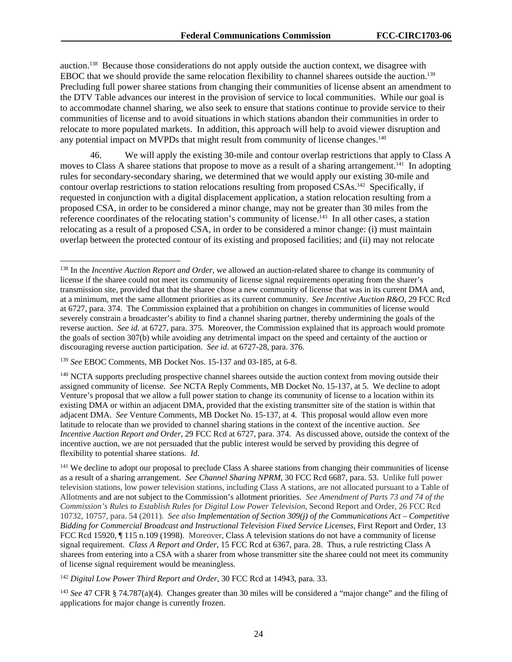auction.138 Because those considerations do not apply outside the auction context, we disagree with EBOC that we should provide the same relocation flexibility to channel sharees outside the auction.139 Precluding full power sharee stations from changing their communities of license absent an amendment to the DTV Table advances our interest in the provision of service to local communities. While our goal is to accommodate channel sharing, we also seek to ensure that stations continue to provide service to their communities of license and to avoid situations in which stations abandon their communities in order to relocate to more populated markets. In addition, this approach will help to avoid viewer disruption and any potential impact on MVPDs that might result from community of license changes.<sup>140</sup>

46. We will apply the existing 30-mile and contour overlap restrictions that apply to Class A moves to Class A sharee stations that propose to move as a result of a sharing arrangement.<sup>141</sup> In adopting rules for secondary-secondary sharing, we determined that we would apply our existing 30-mile and contour overlap restrictions to station relocations resulting from proposed CSAs.142 Specifically, if requested in conjunction with a digital displacement application, a station relocation resulting from a proposed CSA, in order to be considered a minor change, may not be greater than 30 miles from the reference coordinates of the relocating station's community of license.<sup>143</sup> In all other cases, a station relocating as a result of a proposed CSA, in order to be considered a minor change: (i) must maintain overlap between the protected contour of its existing and proposed facilities; and (ii) may not relocate

1

<sup>141</sup> We decline to adopt our proposal to preclude Class A sharee stations from changing their communities of license as a result of a sharing arrangement. *See Channel Sharing NPRM*, 30 FCC Rcd 6687, para. 53. Unlike full power television stations, low power television stations, including Class A stations, are not allocated pursuant to a Table of Allotments and are not subject to the Commission's allotment priorities. *See Amendment of Parts 73 and 74 of the Commission's Rules to Establish Rules for Digital Low Power Television*, Second Report and Order, 26 FCC Rcd 10732, 10757, para. 54 (2011). *See also Implementation of Section 309(j) of the Communications Act – Competitive Bidding for Commercial Broadcast and Instructional Television Fixed Service Licenses*, First Report and Order, 13 FCC Rcd 15920, ¶ 115 n.109 (1998). Moreover, Class A television stations do not have a community of license signal requirement. *Class A Report and Order*, 15 FCC Rcd at 6367, para. 28. Thus, a rule restricting Class A sharees from entering into a CSA with a sharer from whose transmitter site the sharee could not meet its community of license signal requirement would be meaningless.

<sup>142</sup> *Digital Low Power Third Report and Order*, 30 FCC Rcd at 14943, para. 33.

<sup>143</sup> *See* 47 CFR § 74.787(a)(4). Changes greater than 30 miles will be considered a "major change" and the filing of applications for major change is currently frozen.

<sup>138</sup> In the *Incentive Auction Report and Order*, we allowed an auction-related sharee to change its community of license if the sharee could not meet its community of license signal requirements operating from the sharer's transmission site, provided that that the sharee chose a new community of license that was in its current DMA and, at a minimum, met the same allotment priorities as its current community. *See Incentive Auction R&O*, 29 FCC Rcd at 6727, para. 374. The Commission explained that a prohibition on changes in communities of license would severely constrain a broadcaster's ability to find a channel sharing partner, thereby undermining the goals of the reverse auction. *See id*. at 6727, para. 375. Moreover, the Commission explained that its approach would promote the goals of section 307(b) while avoiding any detrimental impact on the speed and certainty of the auction or discouraging reverse auction participation. *See id*. at 6727-28, para. 376.

<sup>139</sup> *See* EBOC Comments, MB Docket Nos. 15-137 and 03-185, at 6-8.

<sup>&</sup>lt;sup>140</sup> NCTA supports precluding prospective channel sharees outside the auction context from moving outside their assigned community of license. *See* NCTA Reply Comments, MB Docket No. 15-137, at 5. We decline to adopt Venture's proposal that we allow a full power station to change its community of license to a location within its existing DMA or within an adjacent DMA, provided that the existing transmitter site of the station is within that adjacent DMA. *See* Venture Comments, MB Docket No. 15-137, at 4. This proposal would allow even more latitude to relocate than we provided to channel sharing stations in the context of the incentive auction. *See Incentive Auction Report and Order*, 29 FCC Rcd at 6727, para. 374. As discussed above, outside the context of the incentive auction, we are not persuaded that the public interest would be served by providing this degree of flexibility to potential sharee stations. *Id*.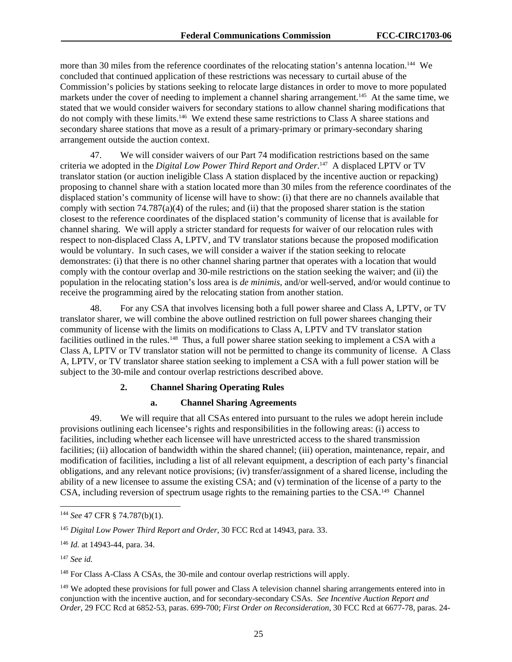more than 30 miles from the reference coordinates of the relocating station's antenna location.<sup>144</sup> We concluded that continued application of these restrictions was necessary to curtail abuse of the Commission's policies by stations seeking to relocate large distances in order to move to more populated markets under the cover of needing to implement a channel sharing arrangement.<sup>145</sup> At the same time, we stated that we would consider waivers for secondary stations to allow channel sharing modifications that do not comply with these limits.146 We extend these same restrictions to Class A sharee stations and secondary sharee stations that move as a result of a primary-primary or primary-secondary sharing arrangement outside the auction context.

47. We will consider waivers of our Part 74 modification restrictions based on the same criteria we adopted in the *Digital Low Power Third Report and Order*. 147 A displaced LPTV or TV translator station (or auction ineligible Class A station displaced by the incentive auction or repacking) proposing to channel share with a station located more than 30 miles from the reference coordinates of the displaced station's community of license will have to show: (i) that there are no channels available that comply with section  $74.787(a)(4)$  of the rules; and (ii) that the proposed sharer station is the station closest to the reference coordinates of the displaced station's community of license that is available for channel sharing. We will apply a stricter standard for requests for waiver of our relocation rules with respect to non-displaced Class A, LPTV, and TV translator stations because the proposed modification would be voluntary. In such cases, we will consider a waiver if the station seeking to relocate demonstrates: (i) that there is no other channel sharing partner that operates with a location that would comply with the contour overlap and 30-mile restrictions on the station seeking the waiver; and (ii) the population in the relocating station's loss area is *de minimis*, and/or well-served, and/or would continue to receive the programming aired by the relocating station from another station.

48. For any CSA that involves licensing both a full power sharee and Class A, LPTV, or TV translator sharer, we will combine the above outlined restriction on full power sharees changing their community of license with the limits on modifications to Class A, LPTV and TV translator station facilities outlined in the rules.<sup>148</sup> Thus, a full power sharee station seeking to implement a CSA with a Class A, LPTV or TV translator station will not be permitted to change its community of license. A Class A, LPTV, or TV translator sharee station seeking to implement a CSA with a full power station will be subject to the 30-mile and contour overlap restrictions described above.

# **2. Channel Sharing Operating Rules**

#### **a. Channel Sharing Agreements**

49. We will require that all CSAs entered into pursuant to the rules we adopt herein include provisions outlining each licensee's rights and responsibilities in the following areas: (i) access to facilities, including whether each licensee will have unrestricted access to the shared transmission facilities; (ii) allocation of bandwidth within the shared channel; (iii) operation, maintenance, repair, and modification of facilities, including a list of all relevant equipment, a description of each party's financial obligations, and any relevant notice provisions; (iv) transfer/assignment of a shared license, including the ability of a new licensee to assume the existing CSA; and (v) termination of the license of a party to the CSA, including reversion of spectrum usage rights to the remaining parties to the CSA.149 Channel

1

<sup>144</sup> *See* 47 CFR § 74.787(b)(1).

<sup>145</sup> *Digital Low Power Third Report and Order*, 30 FCC Rcd at 14943, para. 33.

<sup>146</sup> *Id.* at 14943-44, para. 34.

<sup>147</sup> *See id.*

<sup>148</sup> For Class A-Class A CSAs, the 30-mile and contour overlap restrictions will apply.

<sup>&</sup>lt;sup>149</sup> We adopted these provisions for full power and Class A television channel sharing arrangements entered into in conjunction with the incentive auction, and for secondary-secondary CSAs. *See Incentive Auction Report and Order*, 29 FCC Rcd at 6852-53, paras. 699-700; *First Order on Reconsideration*, 30 FCC Rcd at 6677-78, paras. 24-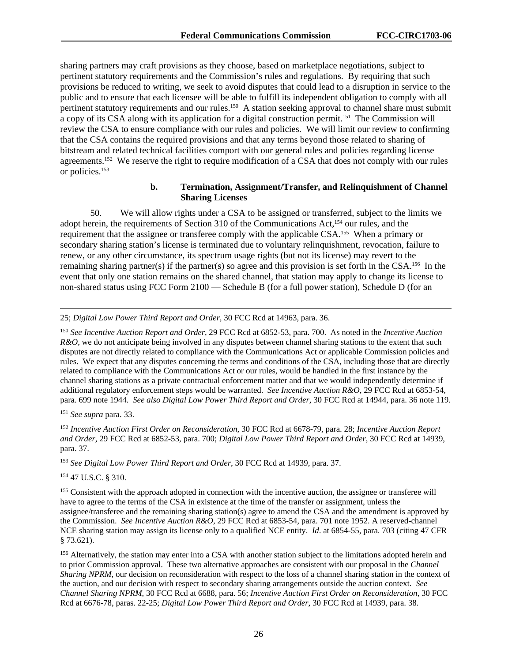sharing partners may craft provisions as they choose, based on marketplace negotiations, subject to pertinent statutory requirements and the Commission's rules and regulations. By requiring that such provisions be reduced to writing, we seek to avoid disputes that could lead to a disruption in service to the public and to ensure that each licensee will be able to fulfill its independent obligation to comply with all pertinent statutory requirements and our rules.<sup>150</sup> A station seeking approval to channel share must submit a copy of its CSA along with its application for a digital construction permit.151 The Commission will review the CSA to ensure compliance with our rules and policies. We will limit our review to confirming that the CSA contains the required provisions and that any terms beyond those related to sharing of bitstream and related technical facilities comport with our general rules and policies regarding license agreements.152 We reserve the right to require modification of a CSA that does not comply with our rules or policies.153

#### **b. Termination, Assignment/Transfer, and Relinquishment of Channel Sharing Licenses**

50. We will allow rights under a CSA to be assigned or transferred, subject to the limits we adopt herein, the requirements of Section 310 of the Communications Act,154 our rules, and the requirement that the assignee or transferee comply with the applicable CSA.155 When a primary or secondary sharing station's license is terminated due to voluntary relinquishment, revocation, failure to renew, or any other circumstance, its spectrum usage rights (but not its license) may revert to the remaining sharing partner(s) if the partner(s) so agree and this provision is set forth in the CSA.156 In the event that only one station remains on the shared channel, that station may apply to change its license to non-shared status using FCC Form 2100 — Schedule B (for a full power station), Schedule D (for an

25; *Digital Low Power Third Report and Order*, 30 FCC Rcd at 14963, para. 36.

<sup>150</sup> *See Incentive Auction Report and Order*, 29 FCC Rcd at 6852-53, para. 700. As noted in the *Incentive Auction R&O*, we do not anticipate being involved in any disputes between channel sharing stations to the extent that such disputes are not directly related to compliance with the Communications Act or applicable Commission policies and rules. We expect that any disputes concerning the terms and conditions of the CSA, including those that are directly related to compliance with the Communications Act or our rules, would be handled in the first instance by the channel sharing stations as a private contractual enforcement matter and that we would independently determine if additional regulatory enforcement steps would be warranted. *See Incentive Auction R&O*, 29 FCC Rcd at 6853-54, para. 699 note 1944. *See also Digital Low Power Third Report and Order*, 30 FCC Rcd at 14944, para. 36 note 119.

<sup>151</sup> *See supra* para. 33.

l

<sup>152</sup> *Incentive Auction First Order on Reconsideration*, 30 FCC Rcd at 6678-79, para. 28; *Incentive Auction Report and Order*, 29 FCC Rcd at 6852-53, para. 700; *Digital Low Power Third Report and Order*, 30 FCC Rcd at 14939, para. 37.

<sup>153</sup> *See Digital Low Power Third Report and Order*, 30 FCC Rcd at 14939, para. 37.

154 47 U.S.C. § 310.

<sup>155</sup> Consistent with the approach adopted in connection with the incentive auction, the assignee or transferee will have to agree to the terms of the CSA in existence at the time of the transfer or assignment, unless the assignee/transferee and the remaining sharing station(s) agree to amend the CSA and the amendment is approved by the Commission. *See Incentive Auction R&O*, 29 FCC Rcd at 6853-54, para. 701 note 1952. A reserved-channel NCE sharing station may assign its license only to a qualified NCE entity. *Id*. at 6854-55, para. 703 (citing 47 CFR  $§ 73.621$ .

<sup>156</sup> Alternatively, the station may enter into a CSA with another station subject to the limitations adopted herein and to prior Commission approval. These two alternative approaches are consistent with our proposal in the *Channel Sharing NPRM*, our decision on reconsideration with respect to the loss of a channel sharing station in the context of the auction, and our decision with respect to secondary sharing arrangements outside the auction context. *See Channel Sharing NPRM*, 30 FCC Rcd at 6688, para. 56; *Incentive Auction First Order on Reconsideration*, 30 FCC Rcd at 6676-78, paras. 22-25; *Digital Low Power Third Report and Order*, 30 FCC Rcd at 14939, para. 38.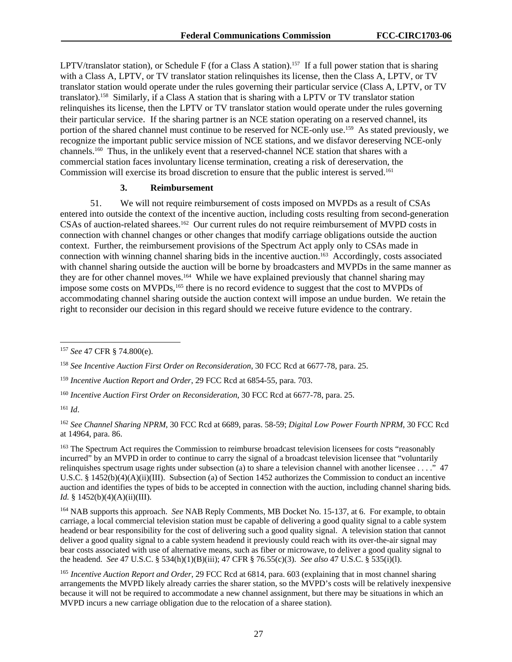LPTV/translator station), or Schedule F (for a Class A station).<sup>157</sup> If a full power station that is sharing with a Class A, LPTV, or TV translator station relinquishes its license, then the Class A, LPTV, or TV translator station would operate under the rules governing their particular service (Class A, LPTV, or TV translator).158 Similarly, if a Class A station that is sharing with a LPTV or TV translator station relinquishes its license, then the LPTV or TV translator station would operate under the rules governing their particular service. If the sharing partner is an NCE station operating on a reserved channel, its portion of the shared channel must continue to be reserved for NCE-only use.159 As stated previously, we recognize the important public service mission of NCE stations, and we disfavor dereserving NCE-only channels.160 Thus, in the unlikely event that a reserved-channel NCE station that shares with a commercial station faces involuntary license termination, creating a risk of dereservation, the Commission will exercise its broad discretion to ensure that the public interest is served.<sup>161</sup>

#### **3. Reimbursement**

51. We will not require reimbursement of costs imposed on MVPDs as a result of CSAs entered into outside the context of the incentive auction, including costs resulting from second-generation CSAs of auction-related sharees.162 Our current rules do not require reimbursement of MVPD costs in connection with channel changes or other changes that modify carriage obligations outside the auction context. Further, the reimbursement provisions of the Spectrum Act apply only to CSAs made in connection with winning channel sharing bids in the incentive auction.<sup>163</sup> Accordingly, costs associated with channel sharing outside the auction will be borne by broadcasters and MVPDs in the same manner as they are for other channel moves.<sup>164</sup> While we have explained previously that channel sharing may impose some costs on MVPDs,<sup>165</sup> there is no record evidence to suggest that the cost to MVPDs of accommodating channel sharing outside the auction context will impose an undue burden. We retain the right to reconsider our decision in this regard should we receive future evidence to the contrary.

l

<sup>157</sup> *See* 47 CFR § 74.800(e).

<sup>158</sup> *See Incentive Auction First Order on Reconsideration*, 30 FCC Rcd at 6677-78, para. 25.

<sup>159</sup> *Incentive Auction Report and Order*, 29 FCC Rcd at 6854-55, para. 703.

<sup>160</sup> *Incentive Auction First Order on Reconsideration*, 30 FCC Rcd at 6677-78, para. 25.

<sup>161</sup> *Id*.

<sup>162</sup> *See Channel Sharing NPRM*, 30 FCC Rcd at 6689, paras. 58-59; *Digital Low Power Fourth NPRM*, 30 FCC Rcd at 14964, para. 86.

<sup>&</sup>lt;sup>163</sup> The Spectrum Act requires the Commission to reimburse broadcast television licensees for costs "reasonably incurred" by an MVPD in order to continue to carry the signal of a broadcast television licensee that "voluntarily relinquishes spectrum usage rights under subsection (a) to share a television channel with another licensee  $\dots$ ." 47 U.S.C. § 1452(b)(4)(A)(ii)(III). Subsection (a) of Section 1452 authorizes the Commission to conduct an incentive auction and identifies the types of bids to be accepted in connection with the auction, including channel sharing bids*. Id.* § 1452(b)(4)(A)(ii)(III).

<sup>164</sup> NAB supports this approach. *See* NAB Reply Comments, MB Docket No. 15-137, at 6. For example, to obtain carriage, a local commercial television station must be capable of delivering a good quality signal to a cable system headend or bear responsibility for the cost of delivering such a good quality signal. A television station that cannot deliver a good quality signal to a cable system headend it previously could reach with its over-the-air signal may bear costs associated with use of alternative means, such as fiber or microwave, to deliver a good quality signal to the headend. *See* 47 U.S.C. § 534(h)(1)(B)(iii); 47 CFR § 76.55(c)(3). *See also* 47 U.S.C. § 535(i)(l).

<sup>165</sup> *Incentive Auction Report and Order*, 29 FCC Rcd at 6814, para. 603 (explaining that in most channel sharing arrangements the MVPD likely already carries the sharer station, so the MVPD's costs will be relatively inexpensive because it will not be required to accommodate a new channel assignment, but there may be situations in which an MVPD incurs a new carriage obligation due to the relocation of a sharee station).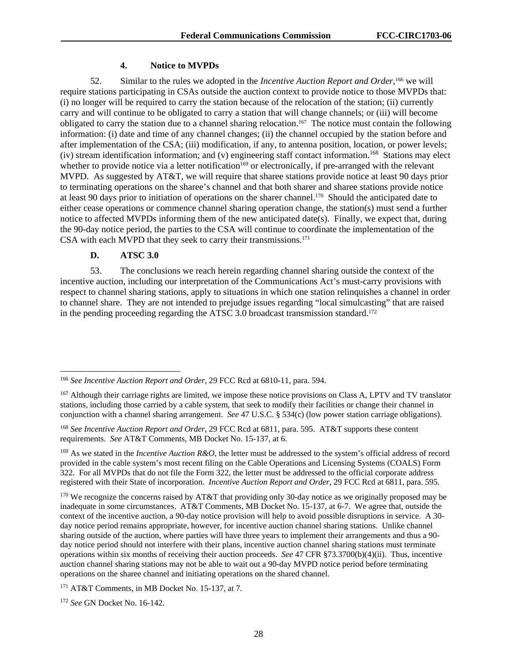#### **4. Notice to MVPDs**

52. Similar to the rules we adopted in the *Incentive Auction Report and Order*,<sup>166</sup> we will require stations participating in CSAs outside the auction context to provide notice to those MVPDs that: (i) no longer will be required to carry the station because of the relocation of the station; (ii) currently carry and will continue to be obligated to carry a station that will change channels; or (iii) will become obligated to carry the station due to a channel sharing relocation.167 The notice must contain the following information: (i) date and time of any channel changes; (ii) the channel occupied by the station before and after implementation of the CSA; (iii) modification, if any, to antenna position, location, or power levels; (iv) stream identification information; and (v) engineering staff contact information.168 Stations may elect whether to provide notice via a letter notification<sup>169</sup> or electronically, if pre-arranged with the relevant MVPD. As suggested by AT&T, we will require that sharee stations provide notice at least 90 days prior to terminating operations on the sharee's channel and that both sharer and sharee stations provide notice at least 90 days prior to initiation of operations on the sharer channel.170 Should the anticipated date to either cease operations or commence channel sharing operation change, the station(s) must send a further notice to affected MVPDs informing them of the new anticipated date(s). Finally, we expect that, during the 90-day notice period, the parties to the CSA will continue to coordinate the implementation of the CSA with each MVPD that they seek to carry their transmissions.<sup>171</sup>

#### **D. ATSC 3.0**

l

53. The conclusions we reach herein regarding channel sharing outside the context of the incentive auction, including our interpretation of the Communications Act's must-carry provisions with respect to channel sharing stations, apply to situations in which one station relinquishes a channel in order to channel share. They are not intended to prejudge issues regarding "local simulcasting" that are raised in the pending proceeding regarding the ATSC 3.0 broadcast transmission standard.<sup>172</sup>

<sup>166</sup> *See Incentive Auction Report and Order*, 29 FCC Rcd at 6810-11, para. 594.

<sup>&</sup>lt;sup>167</sup> Although their carriage rights are limited, we impose these notice provisions on Class A, LPTV and TV translator stations, including those carried by a cable system, that seek to modify their facilities or change their channel in conjunction with a channel sharing arrangement. *See* 47 U.S.C. § 534(c) (low power station carriage obligations).

<sup>168</sup> *See Incentive Auction Report and Order*, 29 FCC Rcd at 6811, para. 595. AT&T supports these content requirements. *See* AT&T Comments, MB Docket No. 15-137, at 6.

<sup>169</sup> As we stated in the *Incentive Auction R&O*, the letter must be addressed to the system's official address of record provided in the cable system's most recent filing on the Cable Operations and Licensing Systems (COALS) Form 322. For all MVPDs that do not file the Form 322, the letter must be addressed to the official corporate address registered with their State of incorporation. *Incentive Auction Report and Order*, 29 FCC Rcd at 6811, para. 595*.*

<sup>&</sup>lt;sup>170</sup> We recognize the concerns raised by AT&T that providing only 30-day notice as we originally proposed may be inadequate in some circumstances. AT&T Comments, MB Docket No. 15-137, at 6-7. We agree that, outside the context of the incentive auction, a 90-day notice provision will help to avoid possible disruptions in service. A 30 day notice period remains appropriate, however, for incentive auction channel sharing stations. Unlike channel sharing outside of the auction, where parties will have three years to implement their arrangements and thus a 90 day notice period should not interfere with their plans, incentive auction channel sharing stations must terminate operations within six months of receiving their auction proceeds. *See* 47 CFR §73.3700(b)(4)(ii). Thus, incentive auction channel sharing stations may not be able to wait out a 90-day MVPD notice period before terminating operations on the sharee channel and initiating operations on the shared channel.

<sup>171</sup> AT&T Comments, in MB Docket No. 15-137, at 7.

<sup>172</sup> *See* GN Docket No. 16-142.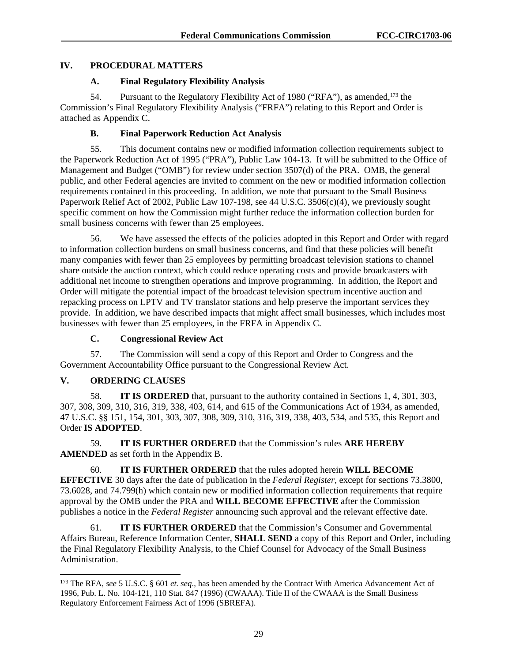# **IV. PROCEDURAL MATTERS**

# **A. Final Regulatory Flexibility Analysis**

54. Pursuant to the Regulatory Flexibility Act of 1980 ("RFA"), as amended,<sup>173</sup> the Commission's Final Regulatory Flexibility Analysis ("FRFA") relating to this Report and Order is attached as Appendix C.

# **B. Final Paperwork Reduction Act Analysis**

55. This document contains new or modified information collection requirements subject to the Paperwork Reduction Act of 1995 ("PRA"), Public Law 104-13. It will be submitted to the Office of Management and Budget ("OMB") for review under section 3507(d) of the PRA. OMB, the general public, and other Federal agencies are invited to comment on the new or modified information collection requirements contained in this proceeding. In addition, we note that pursuant to the Small Business Paperwork Relief Act of 2002, Public Law 107-198, see 44 U.S.C. 3506(c)(4), we previously sought specific comment on how the Commission might further reduce the information collection burden for small business concerns with fewer than 25 employees.

56. We have assessed the effects of the policies adopted in this Report and Order with regard to information collection burdens on small business concerns, and find that these policies will benefit many companies with fewer than 25 employees by permitting broadcast television stations to channel share outside the auction context, which could reduce operating costs and provide broadcasters with additional net income to strengthen operations and improve programming. In addition, the Report and Order will mitigate the potential impact of the broadcast television spectrum incentive auction and repacking process on LPTV and TV translator stations and help preserve the important services they provide. In addition, we have described impacts that might affect small businesses, which includes most businesses with fewer than 25 employees, in the FRFA in Appendix C.

# **C. Congressional Review Act**

57. The Commission will send a copy of this Report and Order to Congress and the Government Accountability Office pursuant to the Congressional Review Act.

# **V. ORDERING CLAUSES**

l

58. **IT IS ORDERED** that, pursuant to the authority contained in Sections 1, 4, 301, 303, 307, 308, 309, 310, 316, 319, 338, 403, 614, and 615 of the Communications Act of 1934, as amended, 47 U.S.C. §§ 151, 154, 301, 303, 307, 308, 309, 310, 316, 319, 338, 403, 534, and 535, this Report and Order **IS ADOPTED**.

59. **IT IS FURTHER ORDERED** that the Commission's rules **ARE HEREBY AMENDED** as set forth in the Appendix B.

60. **IT IS FURTHER ORDERED** that the rules adopted herein **WILL BECOME EFFECTIVE** 30 days after the date of publication in the *Federal Register*, except for sections 73.3800, 73.6028, and 74.799(h) which contain new or modified information collection requirements that require approval by the OMB under the PRA and **WILL BECOME EFFECTIVE** after the Commission publishes a notice in the *Federal Register* announcing such approval and the relevant effective date.

61. **IT IS FURTHER ORDERED** that the Commission's Consumer and Governmental Affairs Bureau, Reference Information Center, **SHALL SEND** a copy of this Report and Order, including the Final Regulatory Flexibility Analysis, to the Chief Counsel for Advocacy of the Small Business Administration.

<sup>173</sup> The RFA, *see* 5 U.S.C. § 601 *et. seq*., has been amended by the Contract With America Advancement Act of 1996, Pub. L. No. 104-121, 110 Stat. 847 (1996) (CWAAA). Title II of the CWAAA is the Small Business Regulatory Enforcement Fairness Act of 1996 (SBREFA).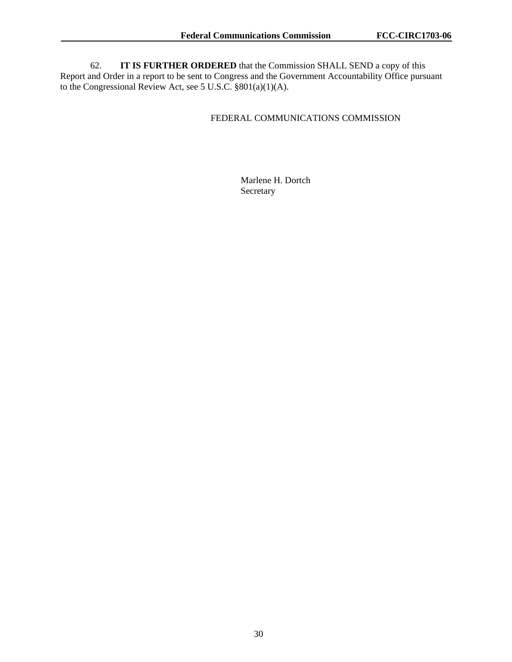62. **IT IS FURTHER ORDERED** that the Commission SHALL SEND a copy of this Report and Order in a report to be sent to Congress and the Government Accountability Office pursuant to the Congressional Review Act, see 5 U.S.C. §801(a)(1)(A).

## FEDERAL COMMUNICATIONS COMMISSION

 Marlene H. Dortch Secretary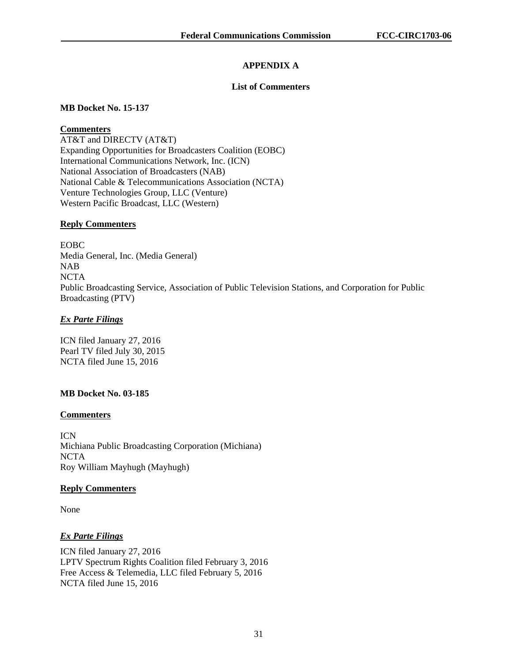# **APPENDIX A**

## **List of Commenters**

# **MB Docket No. 15-137**

# **Commenters**

AT&T and DIRECTV (AT&T) Expanding Opportunities for Broadcasters Coalition (EOBC) International Communications Network, Inc. (ICN) National Association of Broadcasters (NAB) National Cable & Telecommunications Association (NCTA) Venture Technologies Group, LLC (Venture) Western Pacific Broadcast, LLC (Western)

# **Reply Commenters**

EOBC Media General, Inc. (Media General) NAB **NCTA** Public Broadcasting Service, Association of Public Television Stations, and Corporation for Public Broadcasting (PTV)

# *Ex Parte Filings*

ICN filed January 27, 2016 Pearl TV filed July 30, 2015 NCTA filed June 15, 2016

# **MB Docket No. 03-185**

# **Commenters**

ICN Michiana Public Broadcasting Corporation (Michiana) NCTA Roy William Mayhugh (Mayhugh)

# **Reply Commenters**

None

# *Ex Parte Filings*

ICN filed January 27, 2016 LPTV Spectrum Rights Coalition filed February 3, 2016 Free Access & Telemedia, LLC filed February 5, 2016 NCTA filed June 15, 2016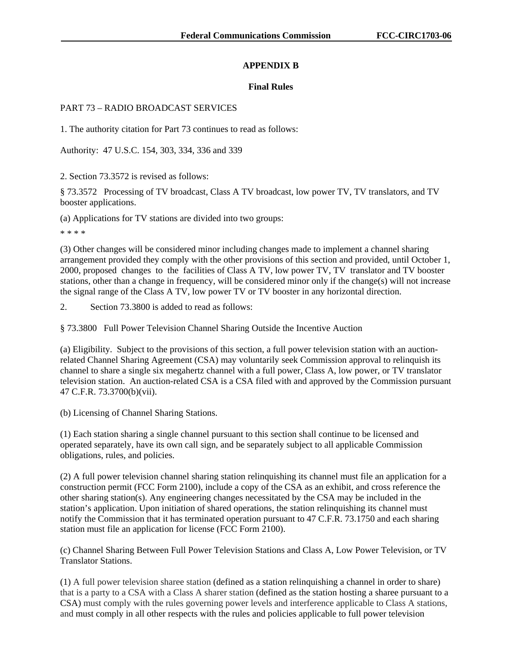## **APPENDIX B**

#### **Final Rules**

#### PART 73 – RADIO BROADCAST SERVICES

1. The authority citation for Part 73 continues to read as follows:

Authority: 47 U.S.C. 154, 303, 334, 336 and 339

2. Section 73.3572 is revised as follows:

§ 73.3572 Processing of TV broadcast, Class A TV broadcast, low power TV, TV translators, and TV booster applications.

(a) Applications for TV stations are divided into two groups:

\* \* \* \*

(3) Other changes will be considered minor including changes made to implement a channel sharing arrangement provided they comply with the other provisions of this section and provided, until October 1, 2000, proposed changes to the facilities of Class A TV, low power TV, TV translator and TV booster stations, other than a change in frequency, will be considered minor only if the change(s) will not increase the signal range of the Class A TV, low power TV or TV booster in any horizontal direction.

2. Section 73.3800 is added to read as follows:

§ 73.3800 Full Power Television Channel Sharing Outside the Incentive Auction

(a) Eligibility. Subject to the provisions of this section, a full power television station with an auctionrelated Channel Sharing Agreement (CSA) may voluntarily seek Commission approval to relinquish its channel to share a single six megahertz channel with a full power, Class A, low power, or TV translator television station. An auction-related CSA is a CSA filed with and approved by the Commission pursuant 47 C.F.R. 73.3700(b)(vii).

(b) Licensing of Channel Sharing Stations.

(1) Each station sharing a single channel pursuant to this section shall continue to be licensed and operated separately, have its own call sign, and be separately subject to all applicable Commission obligations, rules, and policies.

(2) A full power television channel sharing station relinquishing its channel must file an application for a construction permit (FCC Form 2100), include a copy of the CSA as an exhibit, and cross reference the other sharing station(s). Any engineering changes necessitated by the CSA may be included in the station's application. Upon initiation of shared operations, the station relinquishing its channel must notify the Commission that it has terminated operation pursuant to 47 C.F.R. 73.1750 and each sharing station must file an application for license (FCC Form 2100).

(c) Channel Sharing Between Full Power Television Stations and Class A, Low Power Television, or TV Translator Stations.

(1) A full power television sharee station (defined as a station relinquishing a channel in order to share) that is a party to a CSA with a Class A sharer station (defined as the station hosting a sharee pursuant to a CSA) must comply with the rules governing power levels and interference applicable to Class A stations, and must comply in all other respects with the rules and policies applicable to full power television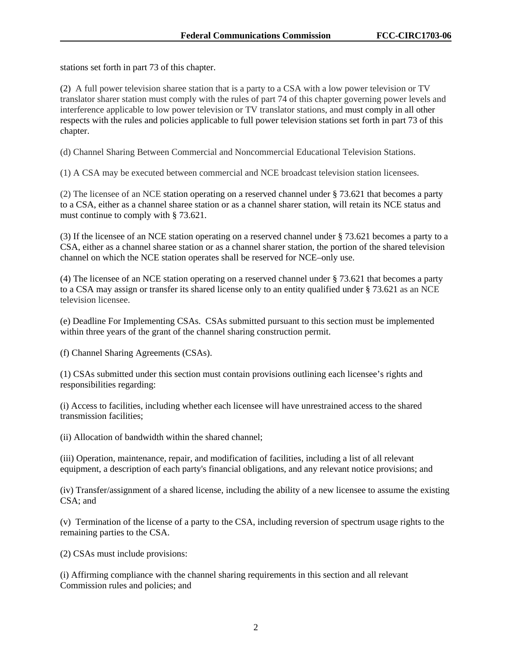stations set forth in part 73 of this chapter.

(2) A full power television sharee station that is a party to a CSA with a low power television or TV translator sharer station must comply with the rules of part 74 of this chapter governing power levels and interference applicable to low power television or TV translator stations, and must comply in all other respects with the rules and policies applicable to full power television stations set forth in part 73 of this chapter.

(d) Channel Sharing Between Commercial and Noncommercial Educational Television Stations.

(1) A CSA may be executed between commercial and NCE broadcast television station licensees.

(2) The licensee of an NCE station operating on a reserved channel under § 73.621 that becomes a party to a CSA, either as a channel sharee station or as a channel sharer station, will retain its NCE status and must continue to comply with § 73.621.

(3) If the licensee of an NCE station operating on a reserved channel under § 73.621 becomes a party to a CSA, either as a channel sharee station or as a channel sharer station, the portion of the shared television channel on which the NCE station operates shall be reserved for NCE–only use.

(4) The licensee of an NCE station operating on a reserved channel under § 73.621 that becomes a party to a CSA may assign or transfer its shared license only to an entity qualified under § 73.621 as an NCE television licensee.

(e) Deadline For Implementing CSAs. CSAs submitted pursuant to this section must be implemented within three years of the grant of the channel sharing construction permit.

(f) Channel Sharing Agreements (CSAs).

(1) CSAs submitted under this section must contain provisions outlining each licensee's rights and responsibilities regarding:

(i) Access to facilities, including whether each licensee will have unrestrained access to the shared transmission facilities;

(ii) Allocation of bandwidth within the shared channel;

(iii) Operation, maintenance, repair, and modification of facilities, including a list of all relevant equipment, a description of each party's financial obligations, and any relevant notice provisions; and

(iv) Transfer/assignment of a shared license, including the ability of a new licensee to assume the existing CSA; and

(v) Termination of the license of a party to the CSA, including reversion of spectrum usage rights to the remaining parties to the CSA.

(2) CSAs must include provisions:

(i) Affirming compliance with the channel sharing requirements in this section and all relevant Commission rules and policies; and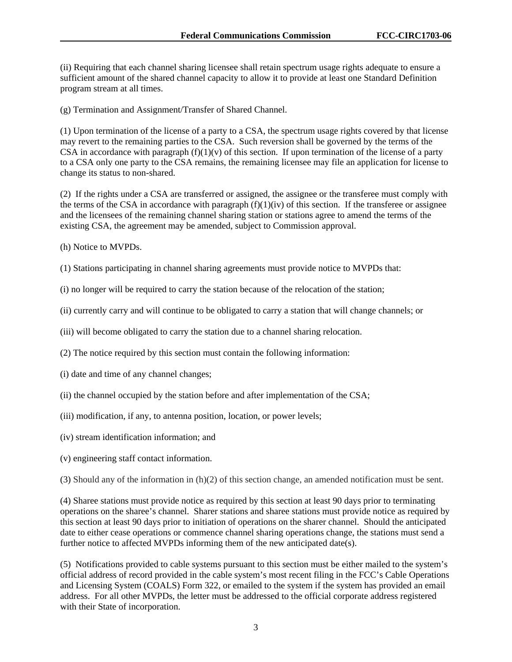(ii) Requiring that each channel sharing licensee shall retain spectrum usage rights adequate to ensure a sufficient amount of the shared channel capacity to allow it to provide at least one Standard Definition program stream at all times.

(g) Termination and Assignment/Transfer of Shared Channel.

(1) Upon termination of the license of a party to a CSA, the spectrum usage rights covered by that license may revert to the remaining parties to the CSA. Such reversion shall be governed by the terms of the CSA in accordance with paragraph  $(f)(1)(v)$  of this section. If upon termination of the license of a party to a CSA only one party to the CSA remains, the remaining licensee may file an application for license to change its status to non-shared.

(2) If the rights under a CSA are transferred or assigned, the assignee or the transferee must comply with the terms of the CSA in accordance with paragraph  $(f)(1)(iv)$  of this section. If the transferee or assignee and the licensees of the remaining channel sharing station or stations agree to amend the terms of the existing CSA, the agreement may be amended, subject to Commission approval.

- (h) Notice to MVPDs.
- (1) Stations participating in channel sharing agreements must provide notice to MVPDs that:
- (i) no longer will be required to carry the station because of the relocation of the station;
- (ii) currently carry and will continue to be obligated to carry a station that will change channels; or
- (iii) will become obligated to carry the station due to a channel sharing relocation.
- (2) The notice required by this section must contain the following information:
- (i) date and time of any channel changes;
- (ii) the channel occupied by the station before and after implementation of the CSA;
- (iii) modification, if any, to antenna position, location, or power levels;
- (iv) stream identification information; and
- (v) engineering staff contact information.

(3) Should any of the information in (h)(2) of this section change, an amended notification must be sent.

(4) Sharee stations must provide notice as required by this section at least 90 days prior to terminating operations on the sharee's channel. Sharer stations and sharee stations must provide notice as required by this section at least 90 days prior to initiation of operations on the sharer channel. Should the anticipated date to either cease operations or commence channel sharing operations change, the stations must send a further notice to affected MVPDs informing them of the new anticipated date(s).

(5) Notifications provided to cable systems pursuant to this section must be either mailed to the system's official address of record provided in the cable system's most recent filing in the FCC's Cable Operations and Licensing System (COALS) Form 322, or emailed to the system if the system has provided an email address. For all other MVPDs, the letter must be addressed to the official corporate address registered with their State of incorporation.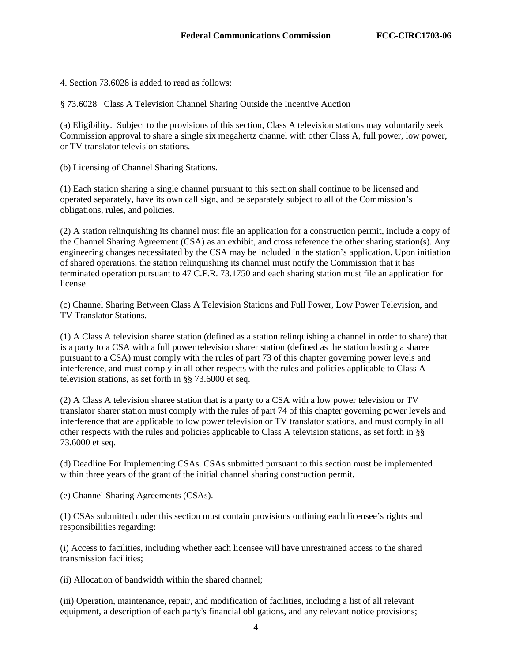4. Section 73.6028 is added to read as follows:

§ 73.6028 Class A Television Channel Sharing Outside the Incentive Auction

(a) Eligibility. Subject to the provisions of this section, Class A television stations may voluntarily seek Commission approval to share a single six megahertz channel with other Class A, full power, low power, or TV translator television stations.

(b) Licensing of Channel Sharing Stations.

(1) Each station sharing a single channel pursuant to this section shall continue to be licensed and operated separately, have its own call sign, and be separately subject to all of the Commission's obligations, rules, and policies.

(2) A station relinquishing its channel must file an application for a construction permit, include a copy of the Channel Sharing Agreement (CSA) as an exhibit, and cross reference the other sharing station(s). Any engineering changes necessitated by the CSA may be included in the station's application. Upon initiation of shared operations, the station relinquishing its channel must notify the Commission that it has terminated operation pursuant to 47 C.F.R. 73.1750 and each sharing station must file an application for license.

(c) Channel Sharing Between Class A Television Stations and Full Power, Low Power Television, and TV Translator Stations.

(1) A Class A television sharee station (defined as a station relinquishing a channel in order to share) that is a party to a CSA with a full power television sharer station (defined as the station hosting a sharee pursuant to a CSA) must comply with the rules of part 73 of this chapter governing power levels and interference, and must comply in all other respects with the rules and policies applicable to Class A television stations, as set forth in §§ 73.6000 et seq.

(2) A Class A television sharee station that is a party to a CSA with a low power television or TV translator sharer station must comply with the rules of part 74 of this chapter governing power levels and interference that are applicable to low power television or TV translator stations, and must comply in all other respects with the rules and policies applicable to Class A television stations, as set forth in §§ 73.6000 et seq.

(d) Deadline For Implementing CSAs. CSAs submitted pursuant to this section must be implemented within three years of the grant of the initial channel sharing construction permit.

(e) Channel Sharing Agreements (CSAs).

(1) CSAs submitted under this section must contain provisions outlining each licensee's rights and responsibilities regarding:

(i) Access to facilities, including whether each licensee will have unrestrained access to the shared transmission facilities;

(ii) Allocation of bandwidth within the shared channel;

(iii) Operation, maintenance, repair, and modification of facilities, including a list of all relevant equipment, a description of each party's financial obligations, and any relevant notice provisions;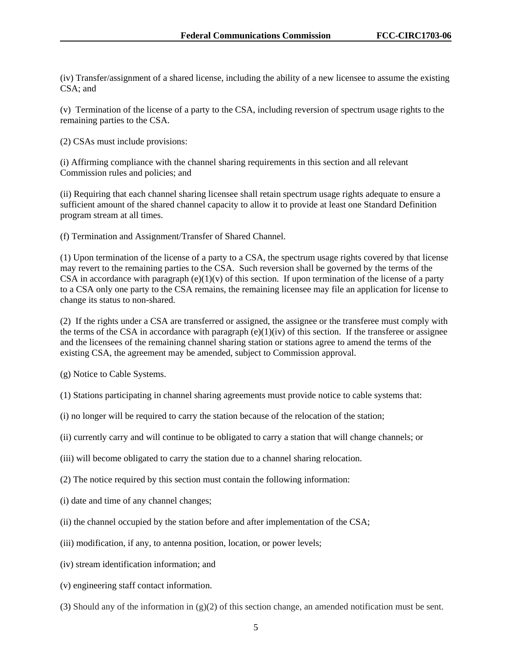(iv) Transfer/assignment of a shared license, including the ability of a new licensee to assume the existing CSA; and

(v) Termination of the license of a party to the CSA, including reversion of spectrum usage rights to the remaining parties to the CSA.

(2) CSAs must include provisions:

(i) Affirming compliance with the channel sharing requirements in this section and all relevant Commission rules and policies; and

(ii) Requiring that each channel sharing licensee shall retain spectrum usage rights adequate to ensure a sufficient amount of the shared channel capacity to allow it to provide at least one Standard Definition program stream at all times.

(f) Termination and Assignment/Transfer of Shared Channel.

(1) Upon termination of the license of a party to a CSA, the spectrum usage rights covered by that license may revert to the remaining parties to the CSA. Such reversion shall be governed by the terms of the CSA in accordance with paragraph  $(e)(1)(v)$  of this section. If upon termination of the license of a party to a CSA only one party to the CSA remains, the remaining licensee may file an application for license to change its status to non-shared.

(2) If the rights under a CSA are transferred or assigned, the assignee or the transferee must comply with the terms of the CSA in accordance with paragraph  $(e)(1)(iv)$  of this section. If the transferee or assignee and the licensees of the remaining channel sharing station or stations agree to amend the terms of the existing CSA, the agreement may be amended, subject to Commission approval.

(g) Notice to Cable Systems.

(1) Stations participating in channel sharing agreements must provide notice to cable systems that:

(i) no longer will be required to carry the station because of the relocation of the station;

(ii) currently carry and will continue to be obligated to carry a station that will change channels; or

(iii) will become obligated to carry the station due to a channel sharing relocation.

(2) The notice required by this section must contain the following information:

(i) date and time of any channel changes;

(ii) the channel occupied by the station before and after implementation of the CSA;

(iii) modification, if any, to antenna position, location, or power levels;

(iv) stream identification information; and

(v) engineering staff contact information.

(3) Should any of the information in  $(g)(2)$  of this section change, an amended notification must be sent.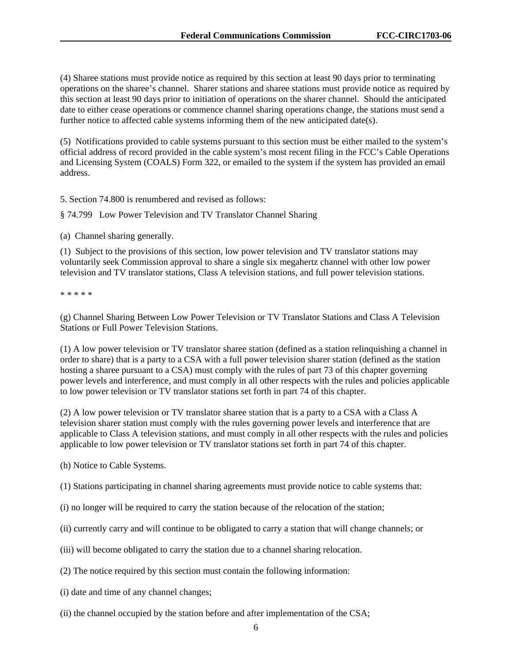(4) Sharee stations must provide notice as required by this section at least 90 days prior to terminating operations on the sharee's channel. Sharer stations and sharee stations must provide notice as required by this section at least 90 days prior to initiation of operations on the sharer channel. Should the anticipated date to either cease operations or commence channel sharing operations change, the stations must send a further notice to affected cable systems informing them of the new anticipated date(s).

(5) Notifications provided to cable systems pursuant to this section must be either mailed to the system's official address of record provided in the cable system's most recent filing in the FCC's Cable Operations and Licensing System (COALS) Form 322, or emailed to the system if the system has provided an email address.

5. Section 74.800 is renumbered and revised as follows:

§ 74.799 Low Power Television and TV Translator Channel Sharing

(a) Channel sharing generally.

(1) Subject to the provisions of this section, low power television and TV translator stations may voluntarily seek Commission approval to share a single six megahertz channel with other low power television and TV translator stations, Class A television stations, and full power television stations.

\* \* \* \* \*

(g) Channel Sharing Between Low Power Television or TV Translator Stations and Class A Television Stations or Full Power Television Stations.

(1) A low power television or TV translator sharee station (defined as a station relinquishing a channel in order to share) that is a party to a CSA with a full power television sharer station (defined as the station hosting a sharee pursuant to a CSA) must comply with the rules of part 73 of this chapter governing power levels and interference, and must comply in all other respects with the rules and policies applicable to low power television or TV translator stations set forth in part 74 of this chapter.

(2) A low power television or TV translator sharee station that is a party to a CSA with a Class A television sharer station must comply with the rules governing power levels and interference that are applicable to Class A television stations, and must comply in all other respects with the rules and policies applicable to low power television or TV translator stations set forth in part 74 of this chapter.

(h) Notice to Cable Systems.

(1) Stations participating in channel sharing agreements must provide notice to cable systems that:

- (i) no longer will be required to carry the station because of the relocation of the station;
- (ii) currently carry and will continue to be obligated to carry a station that will change channels; or
- (iii) will become obligated to carry the station due to a channel sharing relocation.
- (2) The notice required by this section must contain the following information:
- (i) date and time of any channel changes;
- (ii) the channel occupied by the station before and after implementation of the CSA;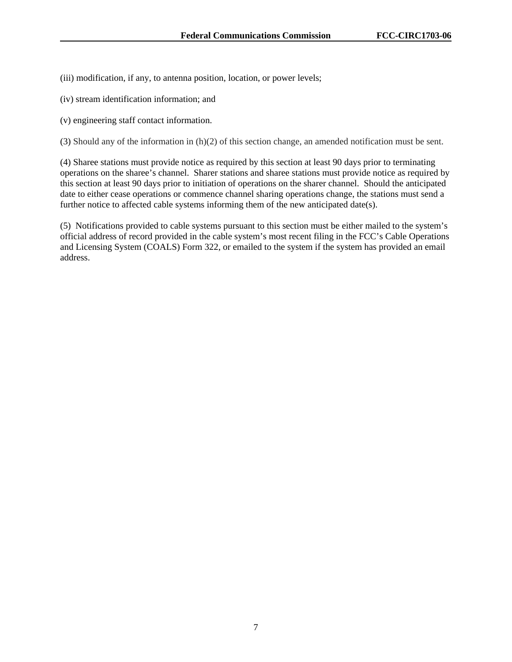(iii) modification, if any, to antenna position, location, or power levels;

- (iv) stream identification information; and
- (v) engineering staff contact information.

(3) Should any of the information in (h)(2) of this section change, an amended notification must be sent.

(4) Sharee stations must provide notice as required by this section at least 90 days prior to terminating operations on the sharee's channel. Sharer stations and sharee stations must provide notice as required by this section at least 90 days prior to initiation of operations on the sharer channel. Should the anticipated date to either cease operations or commence channel sharing operations change, the stations must send a further notice to affected cable systems informing them of the new anticipated date(s).

(5) Notifications provided to cable systems pursuant to this section must be either mailed to the system's official address of record provided in the cable system's most recent filing in the FCC's Cable Operations and Licensing System (COALS) Form 322, or emailed to the system if the system has provided an email address.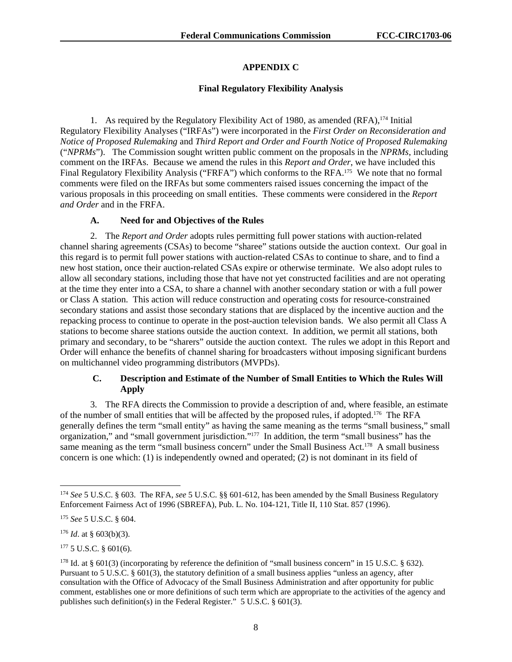# **APPENDIX C**

## **Final Regulatory Flexibility Analysis**

1. As required by the Regulatory Flexibility Act of 1980, as amended (RFA),<sup>174</sup> Initial Regulatory Flexibility Analyses ("IRFAs") were incorporated in the *First Order on Reconsideration and Notice of Proposed Rulemaking* and *Third Report and Order and Fourth Notice of Proposed Rulemaking*  ("*NPRMs*"). The Commission sought written public comment on the proposals in the *NPRMs*, including comment on the IRFAs. Because we amend the rules in this *Report and Order*, we have included this Final Regulatory Flexibility Analysis ("FRFA") which conforms to the RFA.<sup>175</sup> We note that no formal comments were filed on the IRFAs but some commenters raised issues concerning the impact of the various proposals in this proceeding on small entities. These comments were considered in the *Report and Order* and in the FRFA.

## **A. Need for and Objectives of the Rules**

2. The *Report and Order* adopts rules permitting full power stations with auction-related channel sharing agreements (CSAs) to become "sharee" stations outside the auction context. Our goal in this regard is to permit full power stations with auction-related CSAs to continue to share, and to find a new host station, once their auction-related CSAs expire or otherwise terminate. We also adopt rules to allow all secondary stations, including those that have not yet constructed facilities and are not operating at the time they enter into a CSA, to share a channel with another secondary station or with a full power or Class A station. This action will reduce construction and operating costs for resource-constrained secondary stations and assist those secondary stations that are displaced by the incentive auction and the repacking process to continue to operate in the post-auction television bands. We also permit all Class A stations to become sharee stations outside the auction context. In addition, we permit all stations, both primary and secondary, to be "sharers" outside the auction context. The rules we adopt in this Report and Order will enhance the benefits of channel sharing for broadcasters without imposing significant burdens on multichannel video programming distributors (MVPDs).

# **C. Description and Estimate of the Number of Small Entities to Which the Rules Will Apply**

3. The RFA directs the Commission to provide a description of and, where feasible, an estimate of the number of small entities that will be affected by the proposed rules, if adopted.176 The RFA generally defines the term "small entity" as having the same meaning as the terms "small business," small organization," and "small government jurisdiction."177 In addition, the term "small business" has the same meaning as the term "small business concern" under the Small Business Act.<sup>178</sup> A small business concern is one which: (1) is independently owned and operated; (2) is not dominant in its field of

1

<sup>174</sup> *See* 5 U.S.C. § 603. The RFA, *see* 5 U.S.C. §§ 601-612, has been amended by the Small Business Regulatory Enforcement Fairness Act of 1996 (SBREFA), Pub. L. No. 104-121, Title II, 110 Stat. 857 (1996).

<sup>175</sup> *See* 5 U.S.C. § 604.

<sup>176</sup> *Id*. at § 603(b)(3).

 $177$  5 U.S.C. § 601(6).

<sup>&</sup>lt;sup>178</sup> Id. at § 601(3) (incorporating by reference the definition of "small business concern" in 15 U.S.C. § 632). Pursuant to 5 U.S.C. § 601(3), the statutory definition of a small business applies "unless an agency, after consultation with the Office of Advocacy of the Small Business Administration and after opportunity for public comment, establishes one or more definitions of such term which are appropriate to the activities of the agency and publishes such definition(s) in the Federal Register." 5 U.S.C. § 601(3).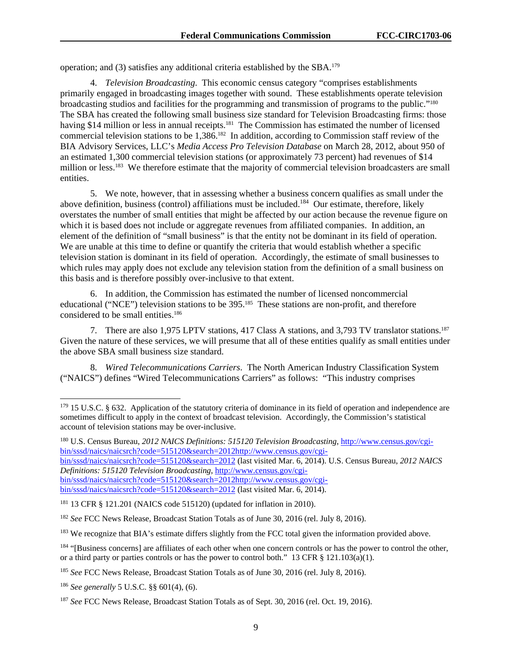operation; and (3) satisfies any additional criteria established by the SBA.179

4. *Television Broadcasting*. This economic census category "comprises establishments primarily engaged in broadcasting images together with sound. These establishments operate television broadcasting studios and facilities for the programming and transmission of programs to the public."180 The SBA has created the following small business size standard for Television Broadcasting firms: those having \$14 million or less in annual receipts.<sup>181</sup> The Commission has estimated the number of licensed commercial television stations to be 1,386.182 In addition, according to Commission staff review of the BIA Advisory Services, LLC's *Media Access Pro Television Database* on March 28, 2012, about 950 of an estimated 1,300 commercial television stations (or approximately 73 percent) had revenues of \$14 million or less.<sup>183</sup> We therefore estimate that the majority of commercial television broadcasters are small entities.

5. We note, however, that in assessing whether a business concern qualifies as small under the above definition, business (control) affiliations must be included.<sup>184</sup> Our estimate, therefore, likely overstates the number of small entities that might be affected by our action because the revenue figure on which it is based does not include or aggregate revenues from affiliated companies. In addition, an element of the definition of "small business" is that the entity not be dominant in its field of operation. We are unable at this time to define or quantify the criteria that would establish whether a specific television station is dominant in its field of operation. Accordingly, the estimate of small businesses to which rules may apply does not exclude any television station from the definition of a small business on this basis and is therefore possibly over-inclusive to that extent.

6. In addition, the Commission has estimated the number of licensed noncommercial educational ("NCE") television stations to be 395.185 These stations are non-profit, and therefore considered to be small entities.186

7. There are also 1,975 LPTV stations, 417 Class A stations, and 3,793 TV translator stations.187 Given the nature of these services, we will presume that all of these entities qualify as small entities under the above SBA small business size standard.

8. *Wired Telecommunications Carriers*. The North American Industry Classification System ("NAICS") defines "Wired Telecommunications Carriers" as follows: "This industry comprises

bin/sssd/naics/naicsrch?code=515120&search=2012 (last visited Mar. 6, 2014). U.S. Census Bureau, *2012 NAICS Definitions: 515120 Television Broadcasting*, http://www.census.gov/cgibin/sssd/naics/naicsrch?code=515120&search=2012http://www.census.gov/cgi-

-

 $179$  15 U.S.C. § 632. Application of the statutory criteria of dominance in its field of operation and independence are sometimes difficult to apply in the context of broadcast television. Accordingly, the Commission's statistical account of television stations may be over-inclusive.

<sup>180</sup> U.S. Census Bureau, *2012 NAICS Definitions: 515120 Television Broadcasting*, http://www.census.gov/cgibin/sssd/naics/naicsrch?code=515120&search=2012http://www.census.gov/cgi-

bin/sssd/naics/naicsrch?code=515120&search=2012 (last visited Mar. 6, 2014).

<sup>181 13</sup> CFR § 121.201 (NAICS code 515120) (updated for inflation in 2010).

<sup>182</sup> *See* FCC News Release, Broadcast Station Totals as of June 30, 2016 (rel. July 8, 2016).

<sup>&</sup>lt;sup>183</sup> We recognize that BIA's estimate differs slightly from the FCC total given the information provided above.

<sup>&</sup>lt;sup>184</sup> "[Business concerns] are affiliates of each other when one concern controls or has the power to control the other, or a third party or parties controls or has the power to control both." 13 CFR § 121.103(a)(1).

<sup>185</sup> *See* FCC News Release, Broadcast Station Totals as of June 30, 2016 (rel. July 8, 2016).

<sup>186</sup> *See generally* 5 U.S.C. §§ 601(4), (6).

<sup>187</sup> *See* FCC News Release, Broadcast Station Totals as of Sept. 30, 2016 (rel. Oct. 19, 2016).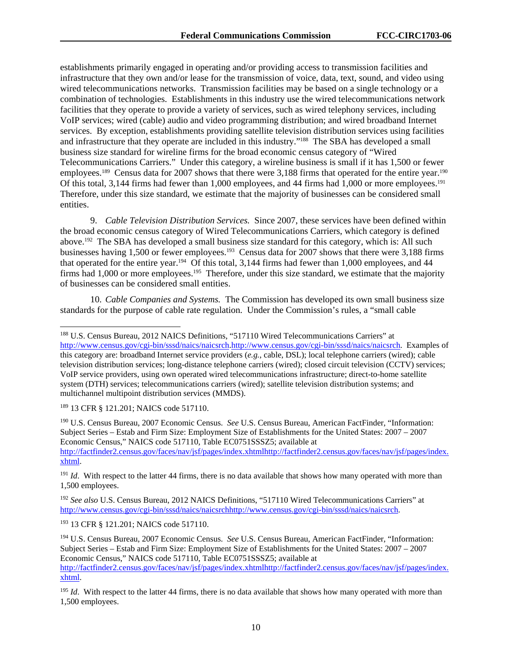establishments primarily engaged in operating and/or providing access to transmission facilities and infrastructure that they own and/or lease for the transmission of voice, data, text, sound, and video using wired telecommunications networks. Transmission facilities may be based on a single technology or a combination of technologies. Establishments in this industry use the wired telecommunications network facilities that they operate to provide a variety of services, such as wired telephony services, including VoIP services; wired (cable) audio and video programming distribution; and wired broadband Internet services. By exception, establishments providing satellite television distribution services using facilities and infrastructure that they operate are included in this industry."188 The SBA has developed a small business size standard for wireline firms for the broad economic census category of "Wired Telecommunications Carriers." Under this category, a wireline business is small if it has 1,500 or fewer employees.<sup>189</sup> Census data for 2007 shows that there were 3,188 firms that operated for the entire year.<sup>190</sup> Of this total, 3,144 firms had fewer than 1,000 employees, and 44 firms had 1,000 or more employees.<sup>191</sup> Therefore, under this size standard, we estimate that the majority of businesses can be considered small entities.

9. *Cable Television Distribution Services.* Since 2007, these services have been defined within the broad economic census category of Wired Telecommunications Carriers, which category is defined above.192 The SBA has developed a small business size standard for this category, which is: All such businesses having 1,500 or fewer employees.<sup>193</sup> Census data for 2007 shows that there were 3,188 firms that operated for the entire year.194 Of this total, 3,144 firms had fewer than 1,000 employees, and 44 firms had 1,000 or more employees.<sup>195</sup> Therefore, under this size standard, we estimate that the majority of businesses can be considered small entities.

10. *Cable Companies and Systems.* The Commission has developed its own small business size standards for the purpose of cable rate regulation. Under the Commission's rules, a "small cable

189 13 CFR § 121.201; NAICS code 517110.

l

190 U.S. Census Bureau, 2007 Economic Census. *See* U.S. Census Bureau, American FactFinder, "Information: Subject Series – Estab and Firm Size: Employment Size of Establishments for the United States: 2007 – 2007 Economic Census," NAICS code 517110, Table EC0751SSSZ5; available at http://factfinder2.census.gov/faces/nav/jsf/pages/index.xhtmlhttp://factfinder2.census.gov/faces/nav/jsf/pages/index. xhtml.

<sup>192</sup> *See also* U.S. Census Bureau, 2012 NAICS Definitions, "517110 Wired Telecommunications Carriers" at http://www.census.gov/cgi-bin/sssd/naics/naicsrchhttp://www.census.gov/cgi-bin/sssd/naics/naicsrch.

193 13 CFR § 121.201; NAICS code 517110.

http://factfinder2.census.gov/faces/nav/jsf/pages/index.xhtmlhttp://factfinder2.census.gov/faces/nav/jsf/pages/index. xhtml.

<sup>&</sup>lt;sup>188</sup> U.S. Census Bureau, 2012 NAICS Definitions, "517110 Wired Telecommunications Carriers" at http://www.census.gov/cgi-bin/sssd/naics/naicsrch.http://www.census.gov/cgi-bin/sssd/naics/naicsrch. Examples of this category are: broadband Internet service providers (*e.g.*, cable, DSL); local telephone carriers (wired); cable television distribution services; long-distance telephone carriers (wired); closed circuit television (CCTV) services; VoIP service providers, using own operated wired telecommunications infrastructure; direct-to-home satellite system (DTH) services; telecommunications carriers (wired); satellite television distribution systems; and multichannel multipoint distribution services (MMDS).

<sup>&</sup>lt;sup>191</sup> *Id*. With respect to the latter 44 firms, there is no data available that shows how many operated with more than 1,500 employees.

<sup>194</sup> U.S. Census Bureau, 2007 Economic Census. *See* U.S. Census Bureau, American FactFinder, "Information: Subject Series – Estab and Firm Size: Employment Size of Establishments for the United States: 2007 – 2007 Economic Census," NAICS code 517110, Table EC0751SSSZ5; available at

<sup>&</sup>lt;sup>195</sup> *Id*. With respect to the latter 44 firms, there is no data available that shows how many operated with more than 1,500 employees.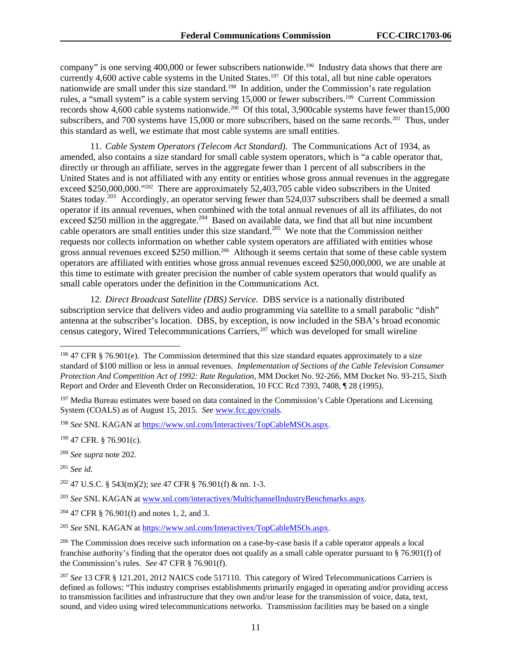company" is one serving 400,000 or fewer subscribers nationwide.<sup>196</sup> Industry data shows that there are currently 4,600 active cable systems in the United States.197Of this total, all but nine cable operators nationwide are small under this size standard.198 In addition, under the Commission's rate regulation rules, a "small system" is a cable system serving 15,000 or fewer subscribers.<sup>199</sup> Current Commission records show 4,600 cable systems nationwide.<sup>200</sup> Of this total, 3,900cable systems have fewer than15,000 subscribers, and 700 systems have 15,000 or more subscribers, based on the same records.<sup>201</sup> Thus, under this standard as well, we estimate that most cable systems are small entities.

11. *Cable System Operators (Telecom Act Standard)*.The Communications Act of 1934, as amended, also contains a size standard for small cable system operators, which is "a cable operator that, directly or through an affiliate, serves in the aggregate fewer than 1 percent of all subscribers in the United States and is not affiliated with any entity or entities whose gross annual revenues in the aggregate exceed \$250,000,000."<sup>202</sup> There are approximately 52,403,705 cable video subscribers in the United States today.<sup>203</sup> Accordingly, an operator serving fewer than 524,037 subscribers shall be deemed a small operator if its annual revenues, when combined with the total annual revenues of all its affiliates, do not exceed \$250 million in the aggregate.<sup>204</sup> Based on available data, we find that all but nine incumbent cable operators are small entities under this size standard.<sup>205</sup> We note that the Commission neither requests nor collects information on whether cable system operators are affiliated with entities whose gross annual revenues exceed \$250 million.<sup>206</sup> Although it seems certain that some of these cable system operators are affiliated with entities whose gross annual revenues exceed \$250,000,000, we are unable at this time to estimate with greater precision the number of cable system operators that would qualify as small cable operators under the definition in the Communications Act.

12. *Direct Broadcast Satellite (DBS) Service.* DBS service is a nationally distributed subscription service that delivers video and audio programming via satellite to a small parabolic "dish" antenna at the subscriber's location. DBS, by exception, is now included in the SBA's broad economic census category, Wired Telecommunications Carriers,<sup>207</sup> which was developed for small wireline

l

<sup>205</sup> *See* SNL KAGAN at https://www.snl.com/Interactivex/TopCableMSOs.aspx.

 $196$  47 CFR § 76.901(e). The Commission determined that this size standard equates approximately to a size standard of \$100 million or less in annual revenues. *Implementation of Sections of the Cable Television Consumer Protection And Competition Act of 1992: Rate Regulation,* MM Docket No. 92-266, MM Docket No. 93-215*,* Sixth Report and Order and Eleventh Order on Reconsideration, 10 FCC Rcd 7393, 7408, ¶ 28 (1995).

<sup>&</sup>lt;sup>197</sup> Media Bureau estimates were based on data contained in the Commission's Cable Operations and Licensing System (COALS) as of August 15, 2015. *See* www.fcc.gov/coals.

<sup>198</sup> *See* SNL KAGAN at https://www.snl.com/Interactivex/TopCableMSOs.aspx.

<sup>199 47</sup> CFR. § 76.901(c).

<sup>200</sup> *See supra* note 202.

<sup>201</sup> *See id*.

<sup>202 47</sup> U.S.C. § 543(m)(2); *see* 47 CFR § 76.901(f) & nn. 1-3.

<sup>203</sup> *See* SNL KAGAN at www.snl.com/interactivex/MultichannelIndustryBenchmarks.aspx.

<sup>204 47</sup> CFR § 76.901(f) and notes 1, 2, and 3.

<sup>&</sup>lt;sup>206</sup> The Commission does receive such information on a case-by-case basis if a cable operator appeals a local franchise authority's finding that the operator does not qualify as a small cable operator pursuant to § 76.901(f) of the Commission's rules. *See* 47 CFR § 76.901(f).

<sup>207</sup> *See* 13 CFR § 121.201, 2012 NAICS code 517110. This category of Wired Telecommunications Carriers is defined as follows: "This industry comprises establishments primarily engaged in operating and/or providing access to transmission facilities and infrastructure that they own and/or lease for the transmission of voice, data, text, sound, and video using wired telecommunications networks. Transmission facilities may be based on a single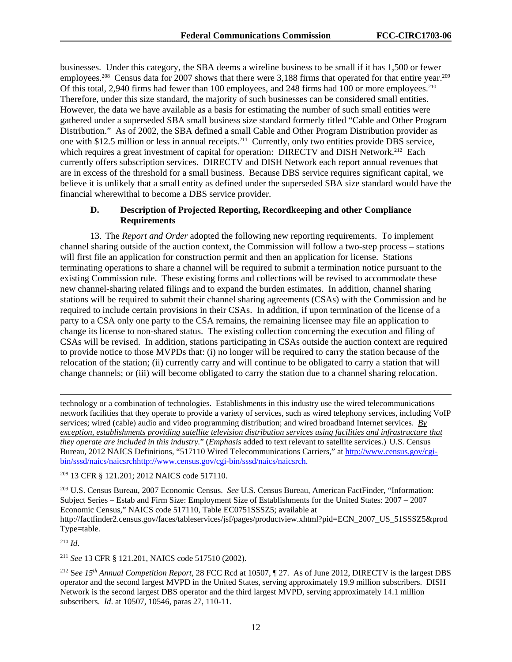businesses. Under this category, the SBA deems a wireline business to be small if it has 1,500 or fewer employees.<sup>208</sup> Census data for 2007 shows that there were 3,188 firms that operated for that entire year.<sup>209</sup> Of this total, 2,940 firms had fewer than 100 employees, and 248 firms had 100 or more employees.210 Therefore, under this size standard, the majority of such businesses can be considered small entities. However, the data we have available as a basis for estimating the number of such small entities were gathered under a superseded SBA small business size standard formerly titled "Cable and Other Program Distribution." As of 2002, the SBA defined a small Cable and Other Program Distribution provider as one with \$12.5 million or less in annual receipts.211 Currently, only two entities provide DBS service, which requires a great investment of capital for operation: DIRECTV and DISH Network.<sup>212</sup> Each currently offers subscription services. DIRECTV and DISH Network each report annual revenues that are in excess of the threshold for a small business. Because DBS service requires significant capital, we believe it is unlikely that a small entity as defined under the superseded SBA size standard would have the financial wherewithal to become a DBS service provider.

## **D. Description of Projected Reporting, Recordkeeping and other Compliance Requirements**

13. The *Report and Order* adopted the following new reporting requirements. To implement channel sharing outside of the auction context, the Commission will follow a two-step process – stations will first file an application for construction permit and then an application for license. Stations terminating operations to share a channel will be required to submit a termination notice pursuant to the existing Commission rule. These existing forms and collections will be revised to accommodate these new channel-sharing related filings and to expand the burden estimates. In addition, channel sharing stations will be required to submit their channel sharing agreements (CSAs) with the Commission and be required to include certain provisions in their CSAs. In addition, if upon termination of the license of a party to a CSA only one party to the CSA remains, the remaining licensee may file an application to change its license to non-shared status. The existing collection concerning the execution and filing of CSAs will be revised. In addition, stations participating in CSAs outside the auction context are required to provide notice to those MVPDs that: (i) no longer will be required to carry the station because of the relocation of the station; (ii) currently carry and will continue to be obligated to carry a station that will change channels; or (iii) will become obligated to carry the station due to a channel sharing relocation.

l technology or a combination of technologies. Establishments in this industry use the wired telecommunications network facilities that they operate to provide a variety of services, such as wired telephony services, including VoIP services; wired (cable) audio and video programming distribution; and wired broadband Internet services. *By exception, establishments providing satellite television distribution services using facilities and infrastructure that they operate are included in this industry.*" (*Emphasis* added to text relevant to satellite services.) U.S. Census Bureau, 2012 NAICS Definitions, "517110 Wired Telecommunications Carriers," at http://www.census.gov/cgibin/sssd/naics/naicsrchhttp://www.census.gov/cgi-bin/sssd/naics/naicsrch.

208 13 CFR § 121.201; 2012 NAICS code 517110.

209 U.S. Census Bureau, 2007 Economic Census. *See* U.S. Census Bureau, American FactFinder, "Information: Subject Series – Estab and Firm Size: Employment Size of Establishments for the United States: 2007 – 2007 Economic Census," NAICS code 517110, Table EC0751SSSZ5; available at http://factfinder2.census.gov/faces/tableservices/jsf/pages/productview.xhtml?pid=ECN\_2007\_US\_51SSSZ5&prod Type=table.

<sup>210</sup> *Id*.

<sup>211</sup> *See* 13 CFR § 121.201, NAICS code 517510 (2002).

212 S*ee 15th Annual Competition Report*, 28 FCC Rcd at 10507, ¶ 27. As of June 2012, DIRECTV is the largest DBS operator and the second largest MVPD in the United States, serving approximately 19.9 million subscribers. DISH Network is the second largest DBS operator and the third largest MVPD, serving approximately 14.1 million subscribers. *Id*. at 10507, 10546, paras 27, 110-11.